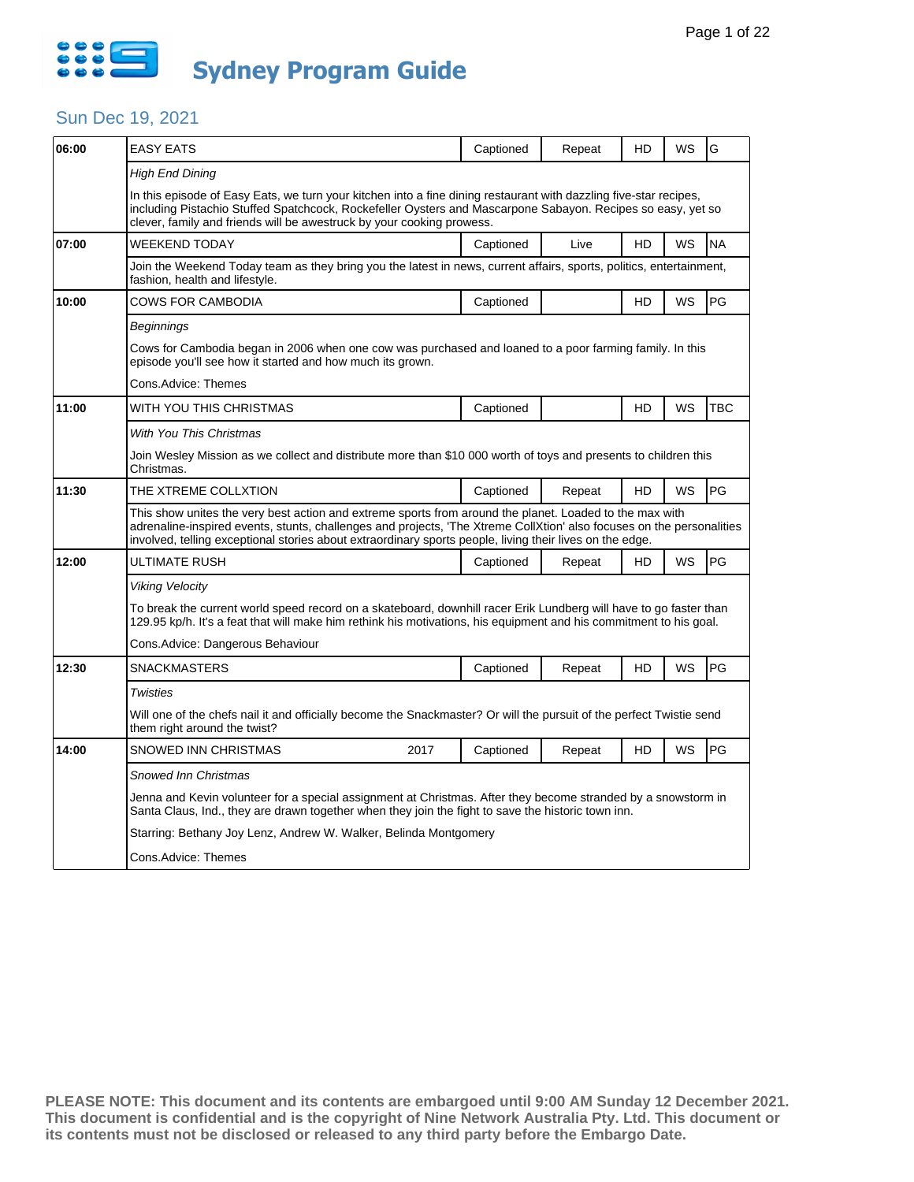

| 06:00 | <b>EASY EATS</b>                                                                                                                                                                                                                                                                                                                             | Captioned                                                                                                            | Repeat | HD | WS | G         |  |  |  |
|-------|----------------------------------------------------------------------------------------------------------------------------------------------------------------------------------------------------------------------------------------------------------------------------------------------------------------------------------------------|----------------------------------------------------------------------------------------------------------------------|--------|----|----|-----------|--|--|--|
|       | High End Dining                                                                                                                                                                                                                                                                                                                              |                                                                                                                      |        |    |    |           |  |  |  |
|       | In this episode of Easy Eats, we turn your kitchen into a fine dining restaurant with dazzling five-star recipes,<br>including Pistachio Stuffed Spatchcock, Rockefeller Oysters and Mascarpone Sabayon. Recipes so easy, yet so<br>clever, family and friends will be awestruck by your cooking prowess.                                    |                                                                                                                      |        |    |    |           |  |  |  |
| 07:00 | <b>WEEKEND TODAY</b>                                                                                                                                                                                                                                                                                                                         | Captioned                                                                                                            | Live   | HD | WS | <b>NA</b> |  |  |  |
|       | Join the Weekend Today team as they bring you the latest in news, current affairs, sports, politics, entertainment,<br>fashion, health and lifestyle.                                                                                                                                                                                        |                                                                                                                      |        |    |    |           |  |  |  |
| 10:00 | COWS FOR CAMBODIA                                                                                                                                                                                                                                                                                                                            | Captioned                                                                                                            |        | HD | WS | PG        |  |  |  |
|       | Beginnings                                                                                                                                                                                                                                                                                                                                   |                                                                                                                      |        |    |    |           |  |  |  |
|       | Cows for Cambodia began in 2006 when one cow was purchased and loaned to a poor farming family. In this<br>episode you'll see how it started and how much its grown.                                                                                                                                                                         |                                                                                                                      |        |    |    |           |  |  |  |
|       | Cons.Advice: Themes                                                                                                                                                                                                                                                                                                                          |                                                                                                                      |        |    |    |           |  |  |  |
| 11:00 | WITH YOU THIS CHRISTMAS                                                                                                                                                                                                                                                                                                                      | Captioned                                                                                                            |        | HD | WS | TBC       |  |  |  |
|       | With You This Christmas                                                                                                                                                                                                                                                                                                                      |                                                                                                                      |        |    |    |           |  |  |  |
|       | Join Wesley Mission as we collect and distribute more than \$10 000 worth of toys and presents to children this<br>Christmas.                                                                                                                                                                                                                |                                                                                                                      |        |    |    |           |  |  |  |
| 11:30 | THE XTREME COLLXTION                                                                                                                                                                                                                                                                                                                         | Captioned                                                                                                            | Repeat | HD | WS | PG        |  |  |  |
|       | This show unites the very best action and extreme sports from around the planet. Loaded to the max with<br>adrenaline-inspired events, stunts, challenges and projects, 'The Xtreme CollXtion' also focuses on the personalities<br>involved, telling exceptional stories about extraordinary sports people, living their lives on the edge. |                                                                                                                      |        |    |    |           |  |  |  |
| 12:00 | ULTIMATE RUSH                                                                                                                                                                                                                                                                                                                                | Captioned                                                                                                            | Repeat | HD | WS | PG        |  |  |  |
|       | <b>Viking Velocity</b>                                                                                                                                                                                                                                                                                                                       |                                                                                                                      |        |    |    |           |  |  |  |
|       | To break the current world speed record on a skateboard, downhill racer Erik Lundberg will have to go faster than<br>129.95 kp/h. It's a feat that will make him rethink his motivations, his equipment and his commitment to his goal.                                                                                                      |                                                                                                                      |        |    |    |           |  |  |  |
|       | Cons.Advice: Dangerous Behaviour                                                                                                                                                                                                                                                                                                             |                                                                                                                      |        |    |    |           |  |  |  |
| 12:30 | <b>SNACKMASTERS</b>                                                                                                                                                                                                                                                                                                                          | Captioned                                                                                                            | Repeat | HD | WS | PG        |  |  |  |
|       | Twisties                                                                                                                                                                                                                                                                                                                                     |                                                                                                                      |        |    |    |           |  |  |  |
|       | them right around the twist?                                                                                                                                                                                                                                                                                                                 | Will one of the chefs nail it and officially become the Snackmaster? Or will the pursuit of the perfect Twistie send |        |    |    |           |  |  |  |
| 14:00 | SNOWED INN CHRISTMAS<br>2017                                                                                                                                                                                                                                                                                                                 | Captioned                                                                                                            | Repeat | HD | WS | PG        |  |  |  |
|       | <b>Snowed Inn Christmas</b>                                                                                                                                                                                                                                                                                                                  |                                                                                                                      |        |    |    |           |  |  |  |
|       | Jenna and Kevin volunteer for a special assignment at Christmas. After they become stranded by a snowstorm in<br>Santa Claus, Ind., they are drawn together when they join the fight to save the historic town inn.                                                                                                                          |                                                                                                                      |        |    |    |           |  |  |  |
|       | Starring: Bethany Joy Lenz, Andrew W. Walker, Belinda Montgomery                                                                                                                                                                                                                                                                             |                                                                                                                      |        |    |    |           |  |  |  |
|       | Cons.Advice: Themes                                                                                                                                                                                                                                                                                                                          |                                                                                                                      |        |    |    |           |  |  |  |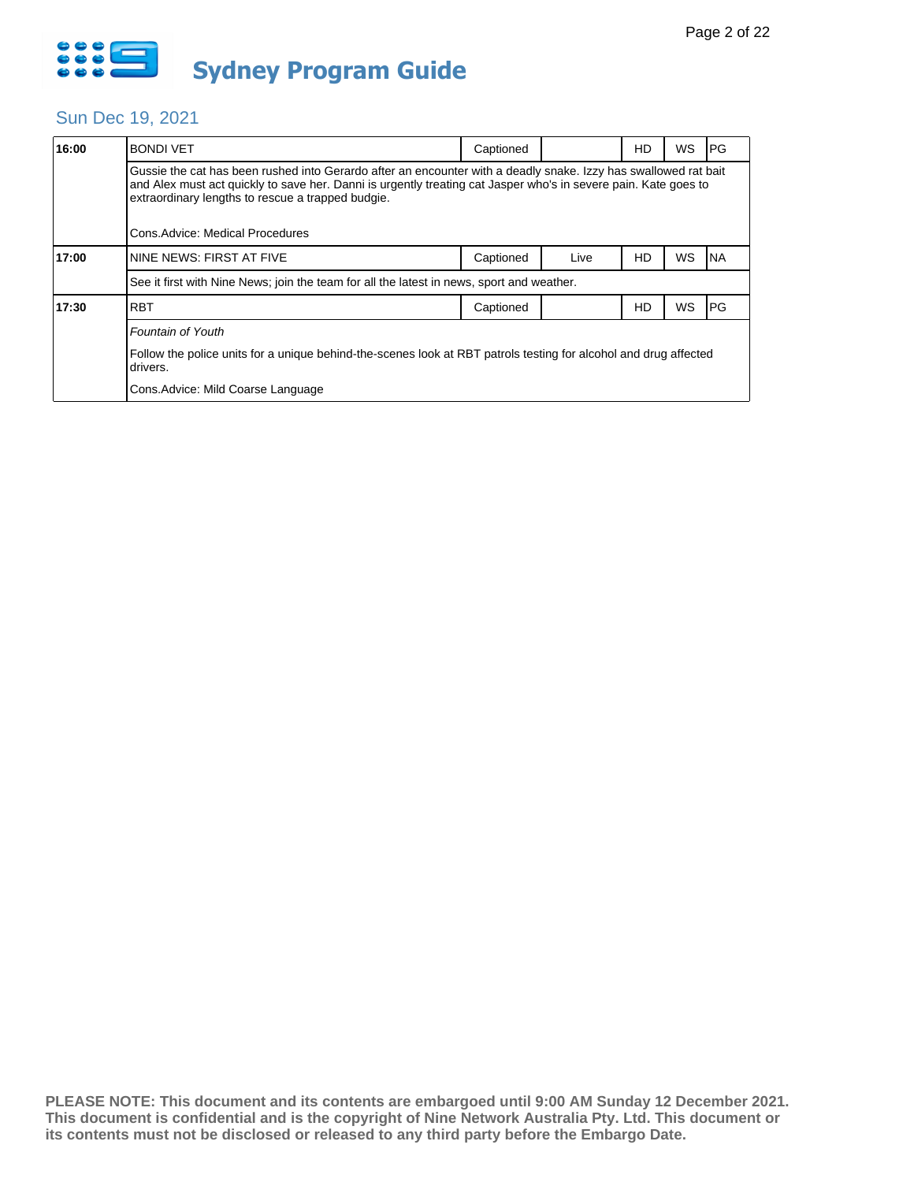

| 16:00 | <b>BONDI VET</b>                                                                                                                                                                                                                                                                                                           | Captioned |      | HD        | WS | <b>PG</b>  |  |  |
|-------|----------------------------------------------------------------------------------------------------------------------------------------------------------------------------------------------------------------------------------------------------------------------------------------------------------------------------|-----------|------|-----------|----|------------|--|--|
|       | Gussie the cat has been rushed into Gerardo after an encounter with a deadly snake. Izzy has swallowed rat bait<br>and Alex must act quickly to save her. Danni is urgently treating cat Jasper who's in severe pain. Kate goes to<br>extraordinary lengths to rescue a trapped budgie.<br>Cons.Advice: Medical Procedures |           |      |           |    |            |  |  |
| 17:00 | NINE NEWS: FIRST AT FIVE                                                                                                                                                                                                                                                                                                   | Captioned | Live | HD        | WS | INA        |  |  |
|       | See it first with Nine News; join the team for all the latest in news, sport and weather.                                                                                                                                                                                                                                  |           |      |           |    |            |  |  |
| 17:30 | <b>RBT</b>                                                                                                                                                                                                                                                                                                                 | Captioned |      | <b>HD</b> | WS | <b>IPG</b> |  |  |
|       | Fountain of Youth                                                                                                                                                                                                                                                                                                          |           |      |           |    |            |  |  |
|       | Follow the police units for a unique behind-the-scenes look at RBT patrols testing for alcohol and drug affected<br>drivers.                                                                                                                                                                                               |           |      |           |    |            |  |  |
|       | Cons. Advice: Mild Coarse Language                                                                                                                                                                                                                                                                                         |           |      |           |    |            |  |  |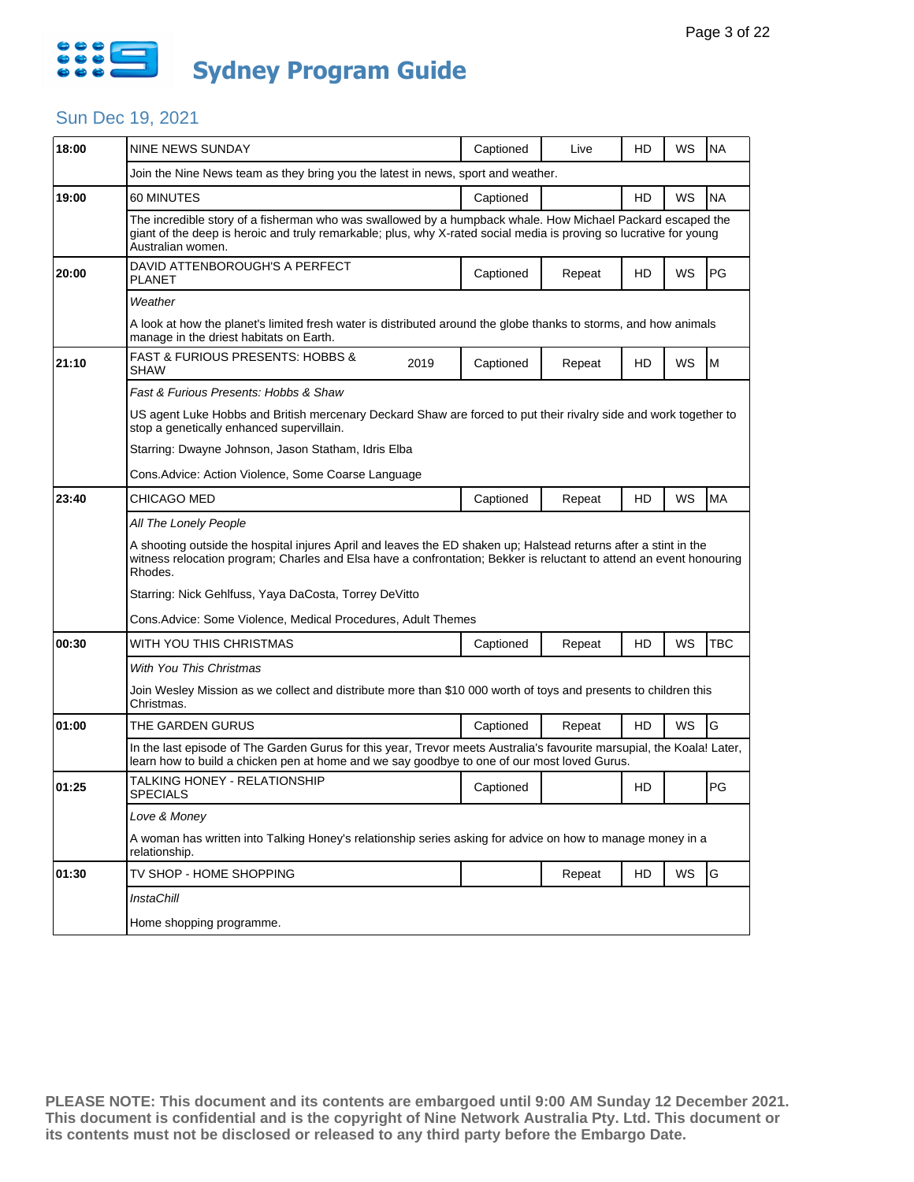

| 18:00 | NINE NEWS SUNDAY                                                                                                                                                                                                                                      |      | Captioned | Live   | HD | WS | <b>NA</b>  |  |  |
|-------|-------------------------------------------------------------------------------------------------------------------------------------------------------------------------------------------------------------------------------------------------------|------|-----------|--------|----|----|------------|--|--|
|       | Join the Nine News team as they bring you the latest in news, sport and weather.                                                                                                                                                                      |      |           |        |    |    |            |  |  |
| 19:00 | 60 MINUTES                                                                                                                                                                                                                                            |      | Captioned |        | HD | WS | <b>NA</b>  |  |  |
|       | The incredible story of a fisherman who was swallowed by a humpback whale. How Michael Packard escaped the<br>giant of the deep is heroic and truly remarkable; plus, why X-rated social media is proving so lucrative for young<br>Australian women. |      |           |        |    |    |            |  |  |
| 20:00 | DAVID ATTENBOROUGH'S A PERFECT<br><b>PLANET</b>                                                                                                                                                                                                       |      | Captioned | Repeat | HD | WS | PG         |  |  |
|       | Weather                                                                                                                                                                                                                                               |      |           |        |    |    |            |  |  |
|       | A look at how the planet's limited fresh water is distributed around the globe thanks to storms, and how animals<br>manage in the driest habitats on Earth.                                                                                           |      |           |        |    |    |            |  |  |
| 21:10 | <b>FAST &amp; FURIOUS PRESENTS: HOBBS &amp;</b><br><b>SHAW</b>                                                                                                                                                                                        | 2019 | Captioned | Repeat | HD | WS | M          |  |  |
|       | Fast & Furious Presents: Hobbs & Shaw                                                                                                                                                                                                                 |      |           |        |    |    |            |  |  |
|       | US agent Luke Hobbs and British mercenary Deckard Shaw are forced to put their rivalry side and work together to<br>stop a genetically enhanced supervillain.                                                                                         |      |           |        |    |    |            |  |  |
|       | Starring: Dwayne Johnson, Jason Statham, Idris Elba                                                                                                                                                                                                   |      |           |        |    |    |            |  |  |
|       | Cons. Advice: Action Violence, Some Coarse Language                                                                                                                                                                                                   |      |           |        |    |    |            |  |  |
| 23:40 | CHICAGO MED                                                                                                                                                                                                                                           |      | Captioned | Repeat | HD | WS | <b>MA</b>  |  |  |
|       | All The Lonely People                                                                                                                                                                                                                                 |      |           |        |    |    |            |  |  |
|       | A shooting outside the hospital injures April and leaves the ED shaken up; Halstead returns after a stint in the<br>witness relocation program; Charles and Elsa have a confrontation; Bekker is reluctant to attend an event honouring<br>Rhodes.    |      |           |        |    |    |            |  |  |
|       | Starring: Nick Gehlfuss, Yaya DaCosta, Torrey DeVitto                                                                                                                                                                                                 |      |           |        |    |    |            |  |  |
|       | Cons. Advice: Some Violence, Medical Procedures, Adult Themes                                                                                                                                                                                         |      |           |        |    |    |            |  |  |
| 00:30 | WITH YOU THIS CHRISTMAS                                                                                                                                                                                                                               |      | Captioned | Repeat | HD | WS | <b>TBC</b> |  |  |
|       | <b>With You This Christmas</b>                                                                                                                                                                                                                        |      |           |        |    |    |            |  |  |
|       | Join Wesley Mission as we collect and distribute more than \$10 000 worth of toys and presents to children this<br>Christmas.                                                                                                                         |      |           |        |    |    |            |  |  |
| 01:00 | THE GARDEN GURUS                                                                                                                                                                                                                                      |      | Captioned | Repeat | HD | WS | G          |  |  |
|       | In the last episode of The Garden Gurus for this year, Trevor meets Australia's favourite marsupial, the Koala! Later,<br>learn how to build a chicken pen at home and we say goodbye to one of our most loved Gurus.                                 |      |           |        |    |    |            |  |  |
| 01:25 | TALKING HONEY - RELATIONSHIP<br><b>SPECIALS</b>                                                                                                                                                                                                       |      | Captioned |        | HD |    | PG         |  |  |
|       | Love & Money                                                                                                                                                                                                                                          |      |           |        |    |    |            |  |  |
|       | A woman has written into Talking Honey's relationship series asking for advice on how to manage money in a                                                                                                                                            |      |           |        |    |    |            |  |  |
|       | relationship.                                                                                                                                                                                                                                         |      |           |        |    |    |            |  |  |
| 01:30 | TV SHOP - HOME SHOPPING                                                                                                                                                                                                                               |      |           | Repeat | HD | WS | G          |  |  |
|       | InstaChill                                                                                                                                                                                                                                            |      |           |        |    |    |            |  |  |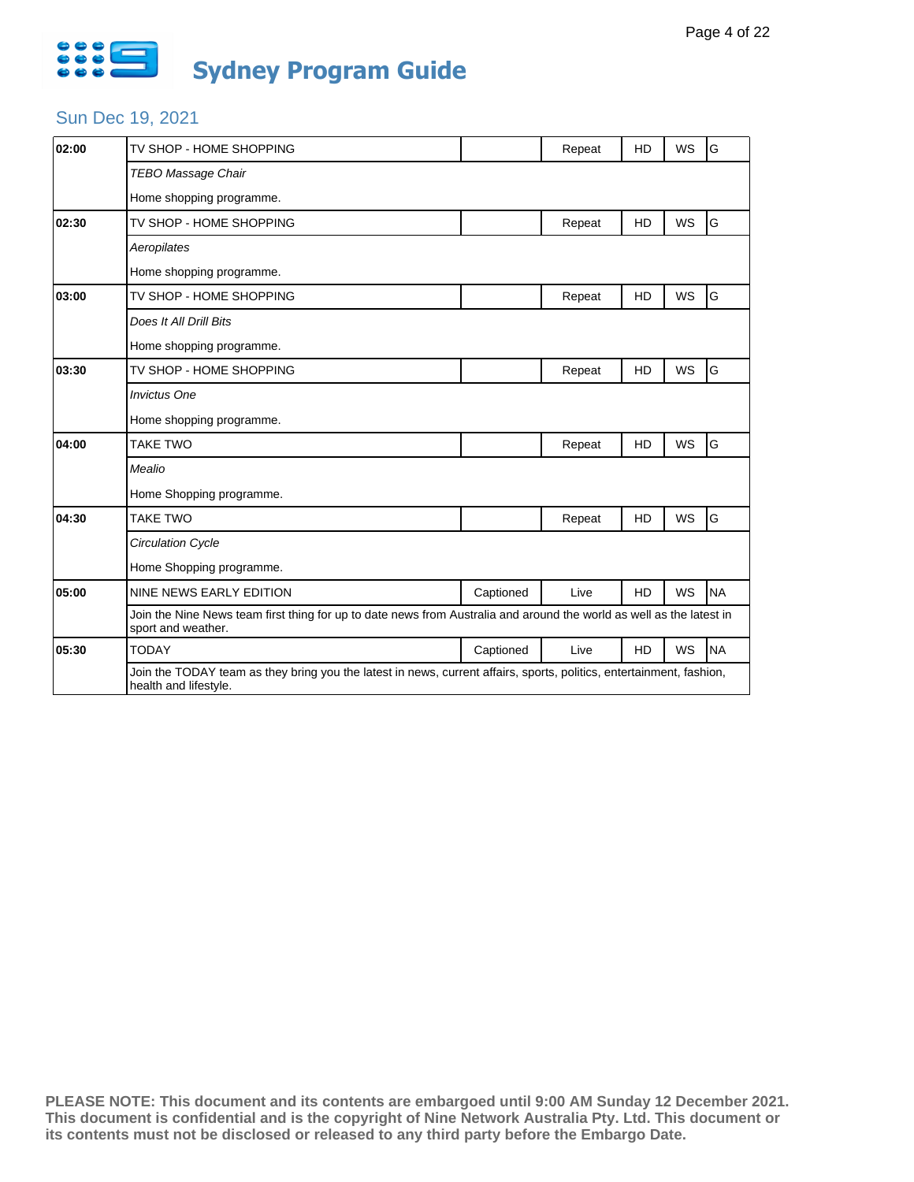

| 02:00 | TV SHOP - HOME SHOPPING                                                                                                                       |           | Repeat | HD        | WS        | G         |  |  |
|-------|-----------------------------------------------------------------------------------------------------------------------------------------------|-----------|--------|-----------|-----------|-----------|--|--|
|       | <b>TEBO Massage Chair</b>                                                                                                                     |           |        |           |           |           |  |  |
|       | Home shopping programme.                                                                                                                      |           |        |           |           |           |  |  |
| 02:30 | TV SHOP - HOME SHOPPING                                                                                                                       |           | Repeat | HD        | <b>WS</b> | G         |  |  |
|       | Aeropilates                                                                                                                                   |           |        |           |           |           |  |  |
|       | Home shopping programme.                                                                                                                      |           |        |           |           |           |  |  |
| 03:00 | TV SHOP - HOME SHOPPING                                                                                                                       |           | Repeat | <b>HD</b> | WS        | G         |  |  |
|       | Does It All Drill Bits                                                                                                                        |           |        |           |           |           |  |  |
|       | Home shopping programme.                                                                                                                      |           |        |           |           |           |  |  |
| 03:30 | TV SHOP - HOME SHOPPING                                                                                                                       |           | Repeat | HD        | WS        | G         |  |  |
|       | <b>Invictus One</b>                                                                                                                           |           |        |           |           |           |  |  |
|       | Home shopping programme.                                                                                                                      |           |        |           |           |           |  |  |
| 04:00 | <b>TAKE TWO</b>                                                                                                                               |           | Repeat | <b>HD</b> | <b>WS</b> | G         |  |  |
|       | Mealio                                                                                                                                        |           |        |           |           |           |  |  |
|       | Home Shopping programme.                                                                                                                      |           |        |           |           |           |  |  |
| 04:30 | <b>TAKE TWO</b>                                                                                                                               |           | Repeat | HD        | <b>WS</b> | G         |  |  |
|       | <b>Circulation Cycle</b>                                                                                                                      |           |        |           |           |           |  |  |
|       | Home Shopping programme.                                                                                                                      |           |        |           |           |           |  |  |
| 05:00 | NINE NEWS EARLY EDITION                                                                                                                       | Captioned | Live   | <b>HD</b> | WS        | <b>NA</b> |  |  |
|       | Join the Nine News team first thing for up to date news from Australia and around the world as well as the latest in<br>sport and weather.    |           |        |           |           |           |  |  |
| 05:30 | <b>TODAY</b>                                                                                                                                  | Captioned | Live   | <b>HD</b> | WS        | <b>NA</b> |  |  |
|       | Join the TODAY team as they bring you the latest in news, current affairs, sports, politics, entertainment, fashion,<br>health and lifestyle. |           |        |           |           |           |  |  |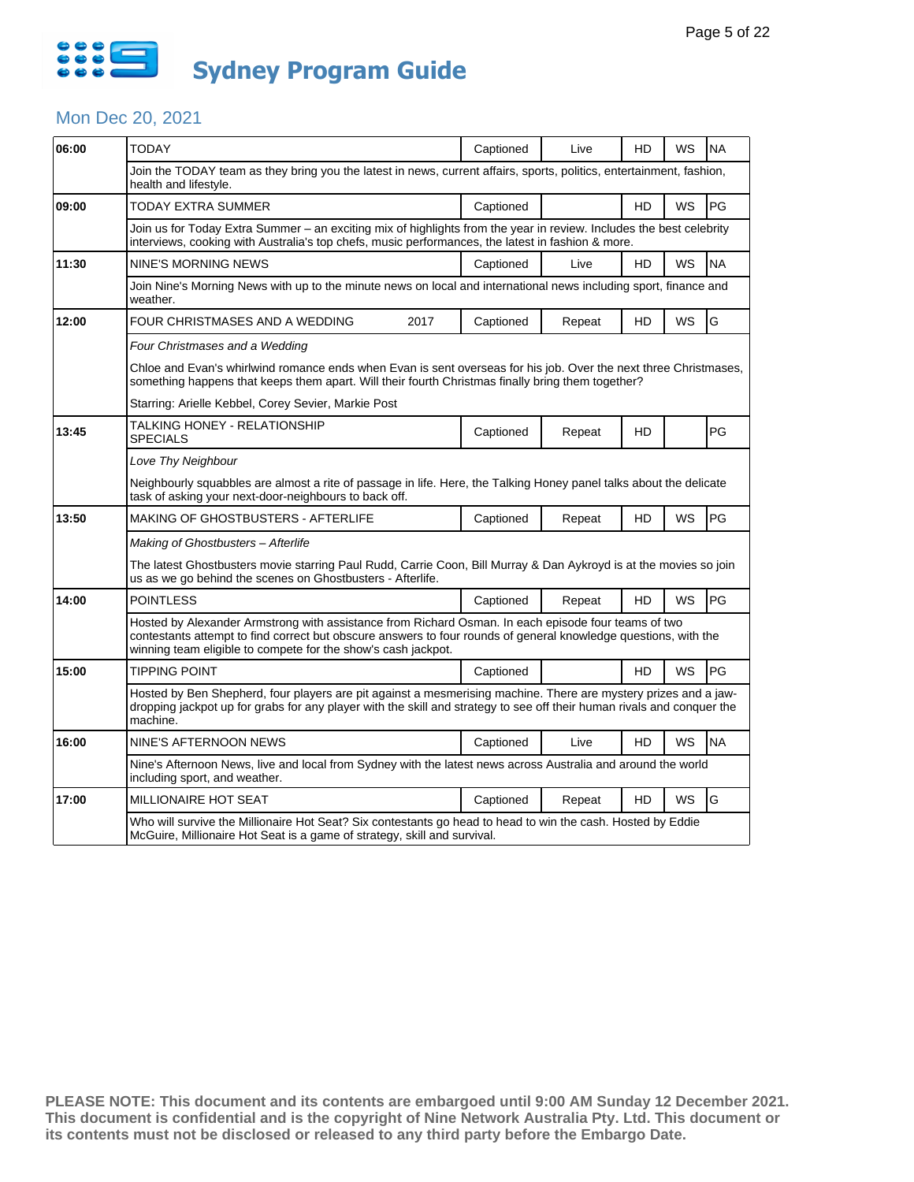

#### Mon Dec 20, 2021

| 06:00 | <b>TODAY</b>                                                                                                                                                                                                                                                                            |      | Captioned | Live   | HD        | WS        | <b>NA</b> |  |  |
|-------|-----------------------------------------------------------------------------------------------------------------------------------------------------------------------------------------------------------------------------------------------------------------------------------------|------|-----------|--------|-----------|-----------|-----------|--|--|
|       | Join the TODAY team as they bring you the latest in news, current affairs, sports, politics, entertainment, fashion,<br>health and lifestyle.                                                                                                                                           |      |           |        |           |           |           |  |  |
| 09:00 | TODAY EXTRA SUMMER                                                                                                                                                                                                                                                                      |      | Captioned |        | <b>HD</b> | WS        | PG        |  |  |
|       | Join us for Today Extra Summer - an exciting mix of highlights from the year in review. Includes the best celebrity<br>interviews, cooking with Australia's top chefs, music performances, the latest in fashion & more.                                                                |      |           |        |           |           |           |  |  |
| 11:30 | <b>NINE'S MORNING NEWS</b>                                                                                                                                                                                                                                                              |      | Captioned | Live   | <b>HD</b> | WS        | <b>NA</b> |  |  |
|       | Join Nine's Morning News with up to the minute news on local and international news including sport, finance and<br>weather.                                                                                                                                                            |      |           |        |           |           |           |  |  |
| 12:00 | FOUR CHRISTMASES AND A WEDDING                                                                                                                                                                                                                                                          | 2017 | Captioned | Repeat | HD        | <b>WS</b> | G         |  |  |
|       | Four Christmases and a Wedding                                                                                                                                                                                                                                                          |      |           |        |           |           |           |  |  |
|       | Chloe and Evan's whirlwind romance ends when Evan is sent overseas for his job. Over the next three Christmases,<br>something happens that keeps them apart. Will their fourth Christmas finally bring them together?                                                                   |      |           |        |           |           |           |  |  |
|       | Starring: Arielle Kebbel, Corey Sevier, Markie Post                                                                                                                                                                                                                                     |      |           |        |           |           |           |  |  |
| 13:45 | TALKING HONEY - RELATIONSHIP<br><b>SPECIALS</b>                                                                                                                                                                                                                                         |      | Captioned | Repeat | HD        |           | PG        |  |  |
|       | Love Thy Neighbour                                                                                                                                                                                                                                                                      |      |           |        |           |           |           |  |  |
|       | Neighbourly squabbles are almost a rite of passage in life. Here, the Talking Honey panel talks about the delicate<br>task of asking your next-door-neighbours to back off.                                                                                                             |      |           |        |           |           |           |  |  |
| 13:50 | <b>MAKING OF GHOSTBUSTERS - AFTERLIFE</b>                                                                                                                                                                                                                                               |      | Captioned | Repeat | HD        | WS        | PG        |  |  |
|       | Making of Ghostbusters - Afterlife                                                                                                                                                                                                                                                      |      |           |        |           |           |           |  |  |
|       | The latest Ghostbusters movie starring Paul Rudd, Carrie Coon, Bill Murray & Dan Aykroyd is at the movies so join<br>us as we go behind the scenes on Ghostbusters - Afterlife.                                                                                                         |      |           |        |           |           |           |  |  |
| 14:00 | <b>POINTLESS</b>                                                                                                                                                                                                                                                                        |      | Captioned | Repeat | <b>HD</b> | <b>WS</b> | PG        |  |  |
|       | Hosted by Alexander Armstrong with assistance from Richard Osman. In each episode four teams of two<br>contestants attempt to find correct but obscure answers to four rounds of general knowledge questions, with the<br>winning team eligible to compete for the show's cash jackpot. |      |           |        |           |           |           |  |  |
| 15:00 | <b>TIPPING POINT</b>                                                                                                                                                                                                                                                                    |      | Captioned |        | HD        | WS        | PG        |  |  |
|       | Hosted by Ben Shepherd, four players are pit against a mesmerising machine. There are mystery prizes and a jaw-<br>dropping jackpot up for grabs for any player with the skill and strategy to see off their human rivals and conquer the<br>machine.                                   |      |           |        |           |           |           |  |  |
| 16:00 | NINE'S AFTERNOON NEWS                                                                                                                                                                                                                                                                   |      | Captioned | Live   | HD.       | WS        | <b>NA</b> |  |  |
|       | Nine's Afternoon News, live and local from Sydney with the latest news across Australia and around the world<br>including sport, and weather.                                                                                                                                           |      |           |        |           |           |           |  |  |
| 17:00 | <b>MILLIONAIRE HOT SEAT</b>                                                                                                                                                                                                                                                             |      | Captioned | Repeat | HD        | <b>WS</b> | G         |  |  |
|       | Who will survive the Millionaire Hot Seat? Six contestants go head to head to win the cash. Hosted by Eddie<br>McGuire, Millionaire Hot Seat is a game of strategy, skill and survival.                                                                                                 |      |           |        |           |           |           |  |  |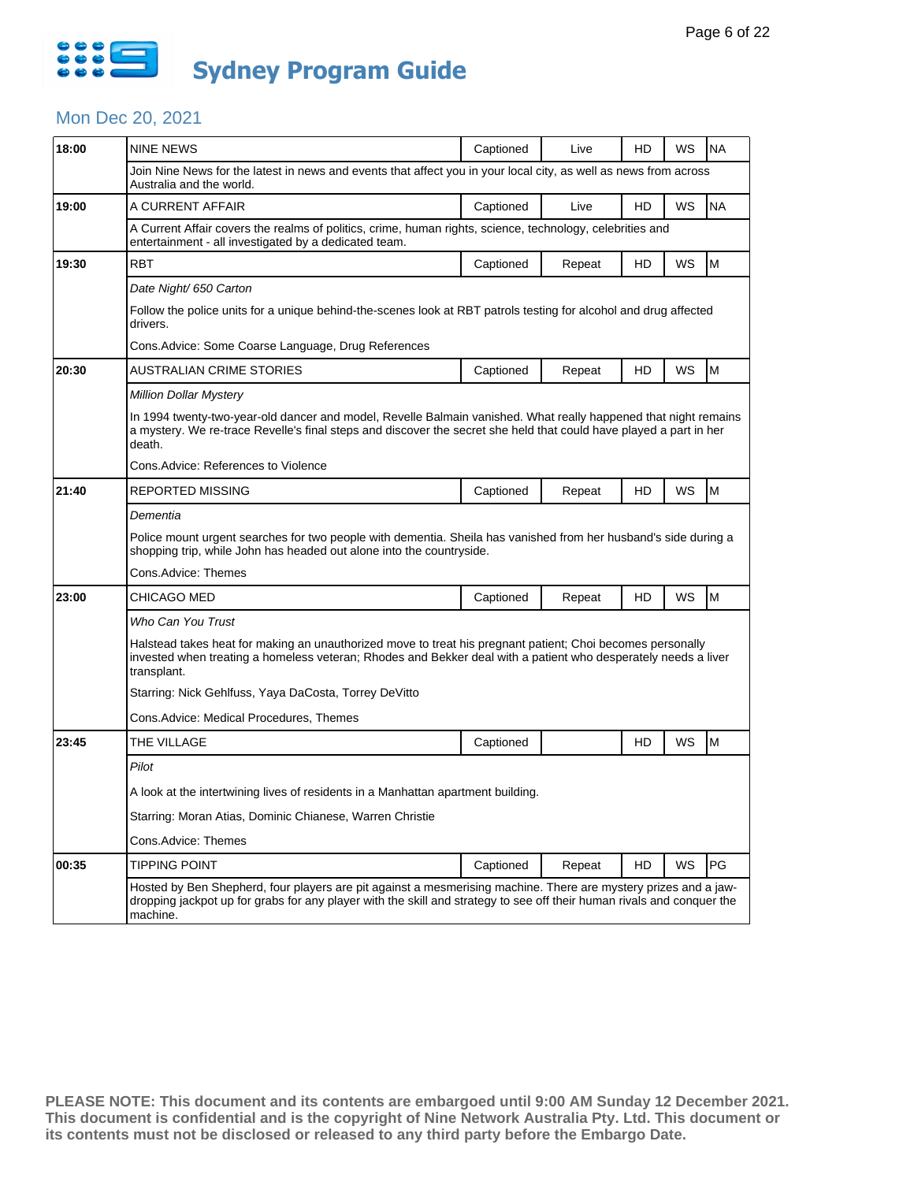

### Mon Dec 20, 2021

| 18:00 | <b>NINE NEWS</b>                                                                                                                                                                                                                                      | Captioned | Live   | HD | WS | <b>NA</b> |  |  |  |
|-------|-------------------------------------------------------------------------------------------------------------------------------------------------------------------------------------------------------------------------------------------------------|-----------|--------|----|----|-----------|--|--|--|
|       | Join Nine News for the latest in news and events that affect you in your local city, as well as news from across<br>Australia and the world.                                                                                                          |           |        |    |    |           |  |  |  |
| 19:00 | A CURRENT AFFAIR                                                                                                                                                                                                                                      | Captioned | Live   | HD | WS | <b>NA</b> |  |  |  |
|       | A Current Affair covers the realms of politics, crime, human rights, science, technology, celebrities and<br>entertainment - all investigated by a dedicated team.                                                                                    |           |        |    |    |           |  |  |  |
| 19:30 | <b>RBT</b>                                                                                                                                                                                                                                            | Captioned | Repeat | HD | WS | M         |  |  |  |
|       | Date Night/ 650 Carton                                                                                                                                                                                                                                |           |        |    |    |           |  |  |  |
|       | Follow the police units for a unique behind-the-scenes look at RBT patrols testing for alcohol and drug affected<br>drivers.                                                                                                                          |           |        |    |    |           |  |  |  |
|       | Cons. Advice: Some Coarse Language, Drug References                                                                                                                                                                                                   |           |        |    |    |           |  |  |  |
| 20:30 | AUSTRALIAN CRIME STORIES                                                                                                                                                                                                                              | Captioned | Repeat | HD | WS | M         |  |  |  |
|       | Million Dollar Mystery                                                                                                                                                                                                                                |           |        |    |    |           |  |  |  |
|       | In 1994 twenty-two-year-old dancer and model, Revelle Balmain vanished. What really happened that night remains<br>a mystery. We re-trace Revelle's final steps and discover the secret she held that could have played a part in her<br>death.       |           |        |    |    |           |  |  |  |
|       | Cons. Advice: References to Violence                                                                                                                                                                                                                  |           |        |    |    |           |  |  |  |
| 21:40 | REPORTED MISSING                                                                                                                                                                                                                                      | Captioned | Repeat | HD | WS | M         |  |  |  |
|       | Dementia                                                                                                                                                                                                                                              |           |        |    |    |           |  |  |  |
|       | Police mount urgent searches for two people with dementia. Sheila has vanished from her husband's side during a<br>shopping trip, while John has headed out alone into the countryside.                                                               |           |        |    |    |           |  |  |  |
|       | Cons.Advice: Themes                                                                                                                                                                                                                                   |           |        |    |    |           |  |  |  |
| 23:00 | CHICAGO MED                                                                                                                                                                                                                                           | Captioned | Repeat | HD | WS | M         |  |  |  |
|       | Who Can You Trust                                                                                                                                                                                                                                     |           |        |    |    |           |  |  |  |
|       | Halstead takes heat for making an unauthorized move to treat his pregnant patient; Choi becomes personally<br>invested when treating a homeless veteran; Rhodes and Bekker deal with a patient who desperately needs a liver<br>transplant.           |           |        |    |    |           |  |  |  |
|       | Starring: Nick Gehlfuss, Yaya DaCosta, Torrey DeVitto                                                                                                                                                                                                 |           |        |    |    |           |  |  |  |
|       | Cons.Advice: Medical Procedures, Themes                                                                                                                                                                                                               |           |        |    |    |           |  |  |  |
| 23:45 | THE VILLAGE                                                                                                                                                                                                                                           | Captioned |        | HD | WS | M         |  |  |  |
|       | Pilot                                                                                                                                                                                                                                                 |           |        |    |    |           |  |  |  |
|       | A look at the intertwining lives of residents in a Manhattan apartment building.                                                                                                                                                                      |           |        |    |    |           |  |  |  |
|       | Starring: Moran Atias, Dominic Chianese, Warren Christie                                                                                                                                                                                              |           |        |    |    |           |  |  |  |
|       | Cons.Advice: Themes                                                                                                                                                                                                                                   |           |        |    |    |           |  |  |  |
| 00:35 | TIPPING POINT                                                                                                                                                                                                                                         | Captioned | Repeat | HD | WS | PG        |  |  |  |
|       | Hosted by Ben Shepherd, four players are pit against a mesmerising machine. There are mystery prizes and a jaw-<br>dropping jackpot up for grabs for any player with the skill and strategy to see off their human rivals and conquer the<br>machine. |           |        |    |    |           |  |  |  |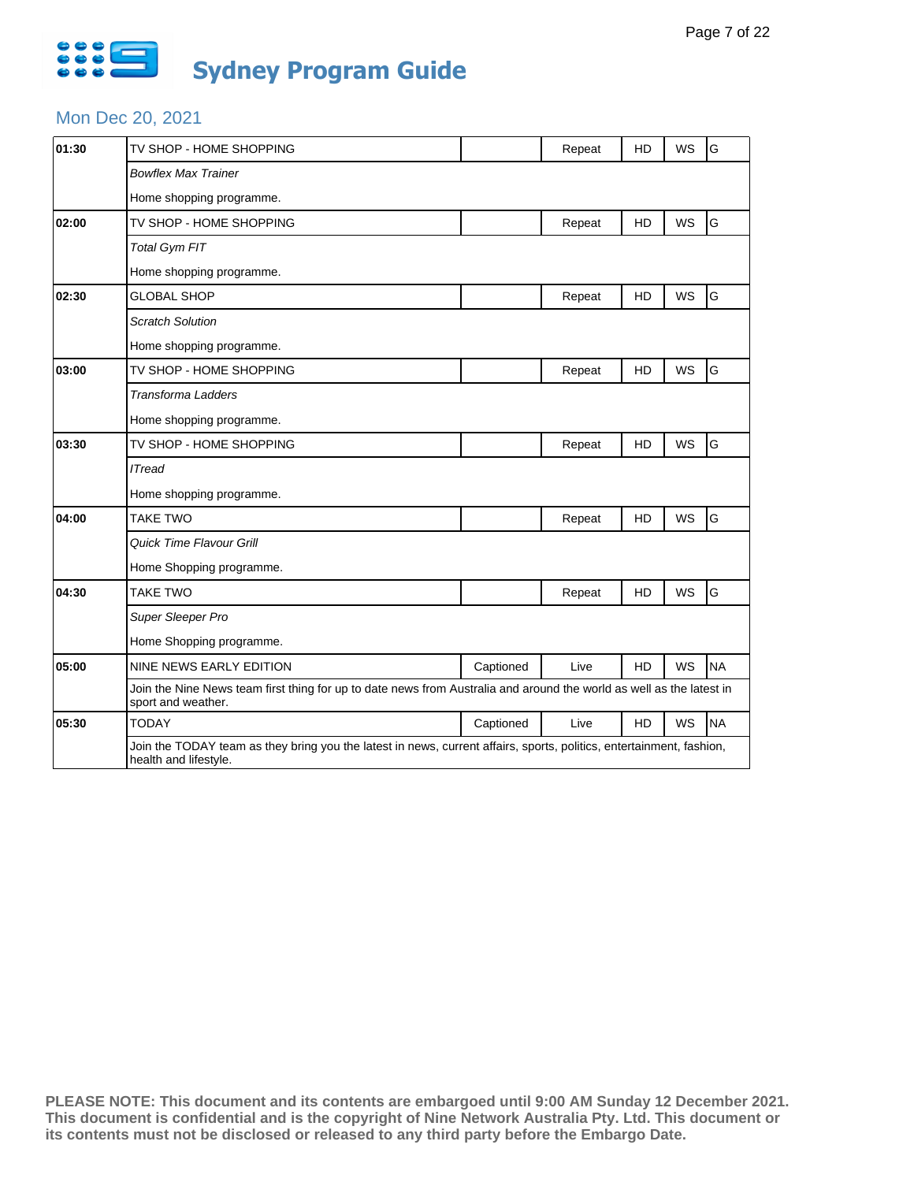

#### Mon Dec 20, 2021

| 01:30 | TV SHOP - HOME SHOPPING                                                                                                                       |           | Repeat | <b>HD</b> | <b>WS</b> | G         |  |  |
|-------|-----------------------------------------------------------------------------------------------------------------------------------------------|-----------|--------|-----------|-----------|-----------|--|--|
|       | <b>Bowflex Max Trainer</b>                                                                                                                    |           |        |           |           |           |  |  |
|       | Home shopping programme.                                                                                                                      |           |        |           |           |           |  |  |
| 02:00 | TV SHOP - HOME SHOPPING                                                                                                                       |           | Repeat | HD        | WS        | G         |  |  |
|       | <b>Total Gym FIT</b>                                                                                                                          |           |        |           |           |           |  |  |
|       | Home shopping programme.                                                                                                                      |           |        |           |           |           |  |  |
| 02:30 | <b>GLOBAL SHOP</b>                                                                                                                            |           | Repeat | HD        | <b>WS</b> | G         |  |  |
|       | <b>Scratch Solution</b>                                                                                                                       |           |        |           |           |           |  |  |
|       | Home shopping programme.                                                                                                                      |           |        |           |           |           |  |  |
| 03:00 | TV SHOP - HOME SHOPPING                                                                                                                       |           | Repeat | HD        | WS        | G         |  |  |
|       | <b>Transforma Ladders</b>                                                                                                                     |           |        |           |           |           |  |  |
|       | Home shopping programme.                                                                                                                      |           |        |           |           |           |  |  |
| 03:30 | TV SHOP - HOME SHOPPING                                                                                                                       |           | Repeat | HD        | <b>WS</b> | G         |  |  |
|       | <b>ITread</b>                                                                                                                                 |           |        |           |           |           |  |  |
|       | Home shopping programme.                                                                                                                      |           |        |           |           |           |  |  |
| 04:00 | <b>TAKE TWO</b>                                                                                                                               |           | Repeat | HD        | WS        | G         |  |  |
|       | <b>Quick Time Flavour Grill</b>                                                                                                               |           |        |           |           |           |  |  |
|       | Home Shopping programme.                                                                                                                      |           |        |           |           |           |  |  |
| 04:30 | <b>TAKE TWO</b>                                                                                                                               |           | Repeat | HD        | WS        | G         |  |  |
|       | Super Sleeper Pro                                                                                                                             |           |        |           |           |           |  |  |
|       | Home Shopping programme.                                                                                                                      |           |        |           |           |           |  |  |
| 05:00 | <b>NINE NEWS EARLY EDITION</b>                                                                                                                | Captioned | Live   | HD        | WS        | <b>NA</b> |  |  |
|       | Join the Nine News team first thing for up to date news from Australia and around the world as well as the latest in<br>sport and weather.    |           |        |           |           |           |  |  |
| 05:30 | <b>TODAY</b>                                                                                                                                  | Captioned | Live   | HD        | WS        | <b>NA</b> |  |  |
|       | Join the TODAY team as they bring you the latest in news, current affairs, sports, politics, entertainment, fashion,<br>health and lifestyle. |           |        |           |           |           |  |  |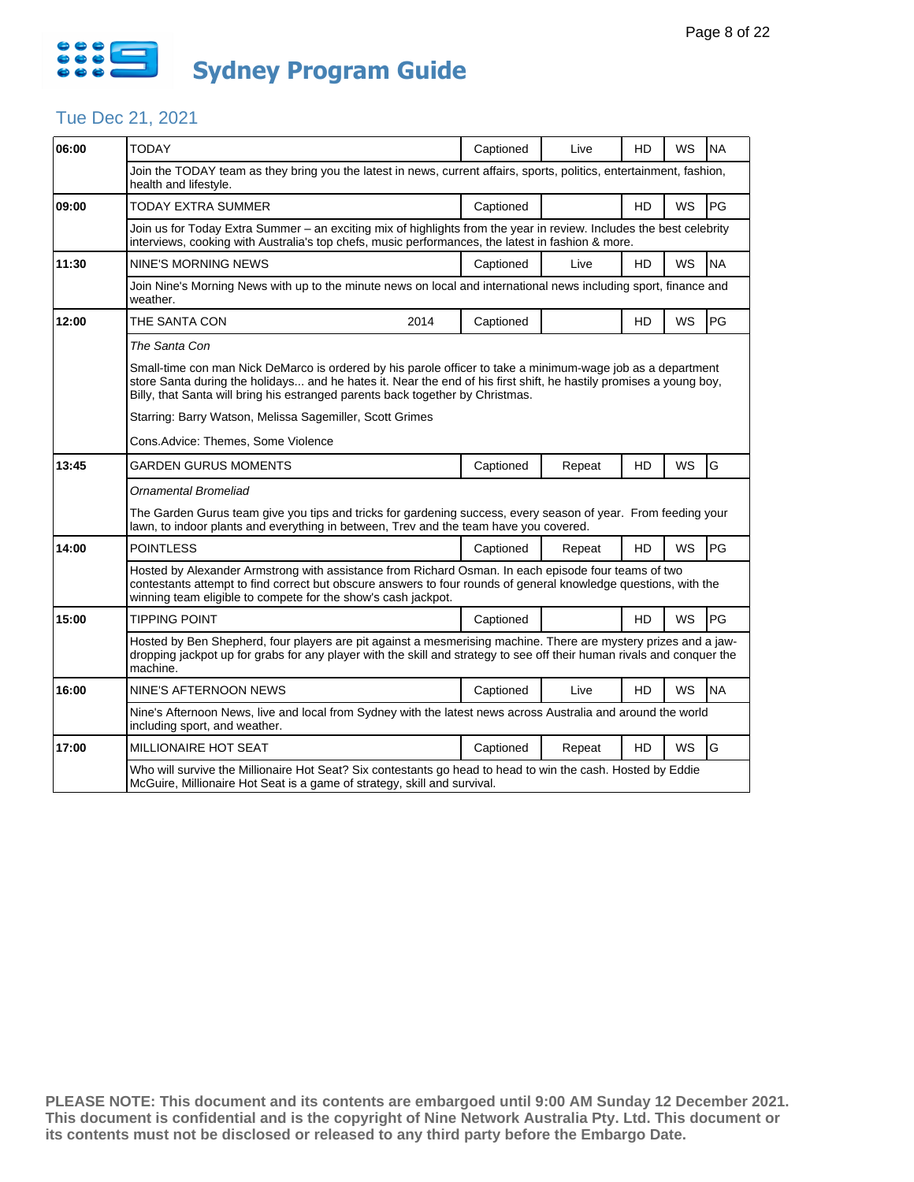

## Tue Dec 21, 2021

| 06:00 | <b>TODAY</b>                                                                                                                                                                                                                                                                                                        | Captioned | Live   | HD        | WS        | <b>NA</b> |  |  |  |
|-------|---------------------------------------------------------------------------------------------------------------------------------------------------------------------------------------------------------------------------------------------------------------------------------------------------------------------|-----------|--------|-----------|-----------|-----------|--|--|--|
|       | Join the TODAY team as they bring you the latest in news, current affairs, sports, politics, entertainment, fashion,<br>health and lifestyle.                                                                                                                                                                       |           |        |           |           |           |  |  |  |
| 09:00 | TODAY EXTRA SUMMER                                                                                                                                                                                                                                                                                                  | Captioned |        | HD        | WS        | PG        |  |  |  |
|       | Join us for Today Extra Summer - an exciting mix of highlights from the year in review. Includes the best celebrity<br>interviews, cooking with Australia's top chefs, music performances, the latest in fashion & more.                                                                                            |           |        |           |           |           |  |  |  |
| 11:30 | <b>NINE'S MORNING NEWS</b>                                                                                                                                                                                                                                                                                          | Captioned | Live   | HD        | WS        | <b>NA</b> |  |  |  |
|       | Join Nine's Morning News with up to the minute news on local and international news including sport, finance and<br>weather.                                                                                                                                                                                        |           |        |           |           |           |  |  |  |
| 12:00 | THE SANTA CON<br>2014                                                                                                                                                                                                                                                                                               | Captioned |        | HD        | WS        | PG        |  |  |  |
|       | The Santa Con                                                                                                                                                                                                                                                                                                       |           |        |           |           |           |  |  |  |
|       | Small-time con man Nick DeMarco is ordered by his parole officer to take a minimum-wage job as a department<br>store Santa during the holidays and he hates it. Near the end of his first shift, he hastily promises a young boy,<br>Billy, that Santa will bring his estranged parents back together by Christmas. |           |        |           |           |           |  |  |  |
|       | Starring: Barry Watson, Melissa Sagemiller, Scott Grimes                                                                                                                                                                                                                                                            |           |        |           |           |           |  |  |  |
|       | Cons.Advice: Themes, Some Violence                                                                                                                                                                                                                                                                                  |           |        |           |           |           |  |  |  |
| 13:45 | GARDEN GURUS MOMENTS                                                                                                                                                                                                                                                                                                | Captioned | Repeat | HD        | WS        | G         |  |  |  |
|       | <b>Ornamental Bromeliad</b>                                                                                                                                                                                                                                                                                         |           |        |           |           |           |  |  |  |
|       | The Garden Gurus team give you tips and tricks for gardening success, every season of year. From feeding your<br>lawn, to indoor plants and everything in between, Trev and the team have you covered.                                                                                                              |           |        |           |           |           |  |  |  |
| 14:00 | <b>POINTLESS</b>                                                                                                                                                                                                                                                                                                    | Captioned | Repeat | HD        | <b>WS</b> | PG        |  |  |  |
|       | Hosted by Alexander Armstrong with assistance from Richard Osman. In each episode four teams of two<br>contestants attempt to find correct but obscure answers to four rounds of general knowledge questions, with the<br>winning team eligible to compete for the show's cash jackpot.                             |           |        |           |           |           |  |  |  |
| 15:00 | <b>TIPPING POINT</b>                                                                                                                                                                                                                                                                                                | Captioned |        | <b>HD</b> | <b>WS</b> | PG        |  |  |  |
|       | Hosted by Ben Shepherd, four players are pit against a mesmerising machine. There are mystery prizes and a jaw-<br>dropping jackpot up for grabs for any player with the skill and strategy to see off their human rivals and conquer the<br>machine.                                                               |           |        |           |           |           |  |  |  |
| 16:00 | NINE'S AFTERNOON NEWS                                                                                                                                                                                                                                                                                               | Captioned | Live   | HD        | WS        | <b>NA</b> |  |  |  |
|       | Nine's Afternoon News, live and local from Sydney with the latest news across Australia and around the world<br>including sport, and weather.                                                                                                                                                                       |           |        |           |           |           |  |  |  |
| 17:00 | <b>MILLIONAIRE HOT SEAT</b>                                                                                                                                                                                                                                                                                         | Captioned | Repeat | <b>HD</b> | WS        | G         |  |  |  |
|       | Who will survive the Millionaire Hot Seat? Six contestants go head to head to win the cash. Hosted by Eddie<br>McGuire, Millionaire Hot Seat is a game of strategy, skill and survival.                                                                                                                             |           |        |           |           |           |  |  |  |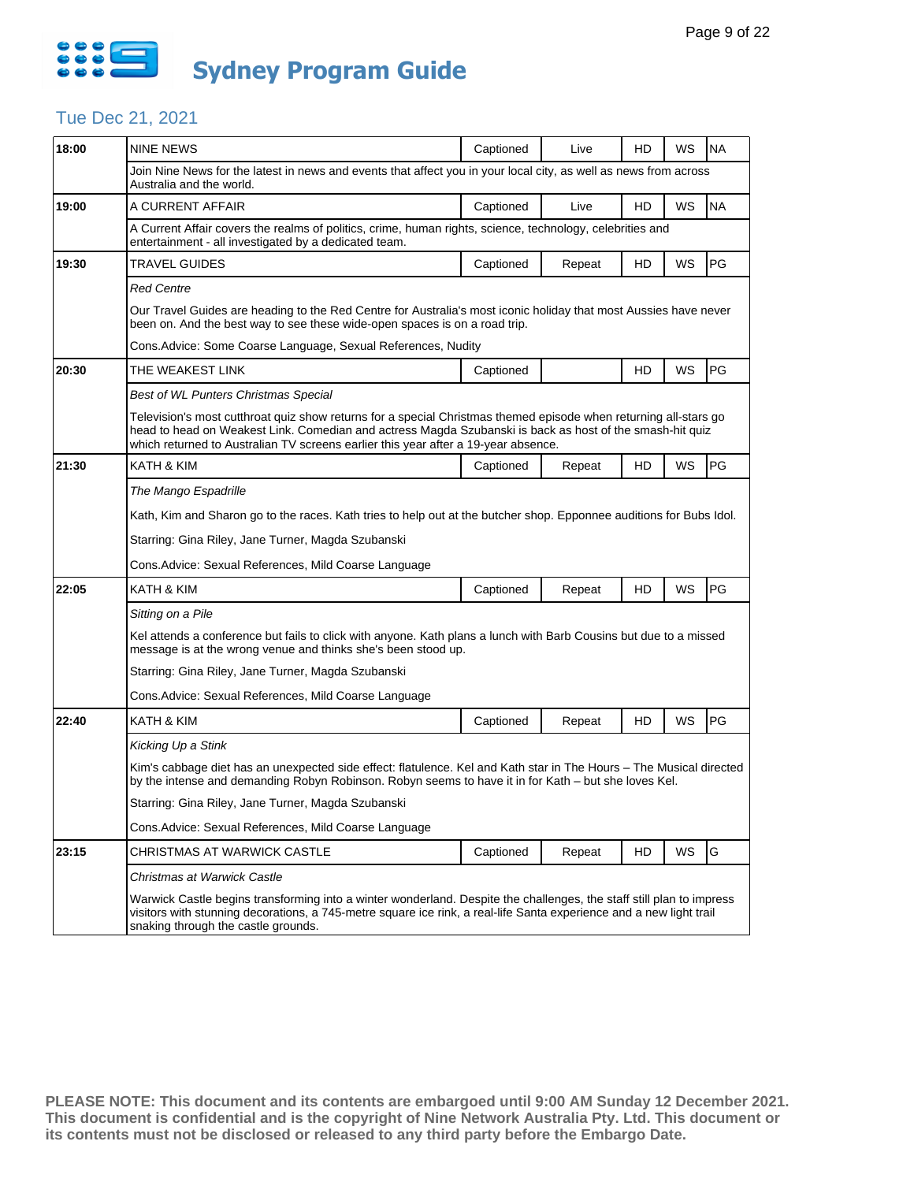

# Tue Dec 21, 2021

| 18:00 | <b>NINE NEWS</b>                                                                                                                                                                                                                                                                                                   | Captioned                                                                                                                                                                                                                   | Live   | HD | WS | <b>NA</b> |  |  |  |
|-------|--------------------------------------------------------------------------------------------------------------------------------------------------------------------------------------------------------------------------------------------------------------------------------------------------------------------|-----------------------------------------------------------------------------------------------------------------------------------------------------------------------------------------------------------------------------|--------|----|----|-----------|--|--|--|
|       | Join Nine News for the latest in news and events that affect you in your local city, as well as news from across<br>Australia and the world.                                                                                                                                                                       |                                                                                                                                                                                                                             |        |    |    |           |  |  |  |
| 19:00 | A CURRENT AFFAIR                                                                                                                                                                                                                                                                                                   | Captioned                                                                                                                                                                                                                   | Live   | HD | WS | <b>NA</b> |  |  |  |
|       | A Current Affair covers the realms of politics, crime, human rights, science, technology, celebrities and<br>entertainment - all investigated by a dedicated team.                                                                                                                                                 |                                                                                                                                                                                                                             |        |    |    |           |  |  |  |
| 19:30 | TRAVEL GUIDES                                                                                                                                                                                                                                                                                                      | Captioned                                                                                                                                                                                                                   | Repeat | HD | WS | PG        |  |  |  |
|       | Red Centre                                                                                                                                                                                                                                                                                                         |                                                                                                                                                                                                                             |        |    |    |           |  |  |  |
|       | Our Travel Guides are heading to the Red Centre for Australia's most iconic holiday that most Aussies have never<br>been on. And the best way to see these wide-open spaces is on a road trip.                                                                                                                     |                                                                                                                                                                                                                             |        |    |    |           |  |  |  |
|       | Cons. Advice: Some Coarse Language, Sexual References, Nudity                                                                                                                                                                                                                                                      |                                                                                                                                                                                                                             |        |    |    |           |  |  |  |
| 20:30 | THE WEAKEST LINK                                                                                                                                                                                                                                                                                                   | Captioned                                                                                                                                                                                                                   |        | HD | WS | PG        |  |  |  |
|       | Best of WL Punters Christmas Special                                                                                                                                                                                                                                                                               |                                                                                                                                                                                                                             |        |    |    |           |  |  |  |
|       | Television's most cutthroat quiz show returns for a special Christmas themed episode when returning all-stars go<br>head to head on Weakest Link. Comedian and actress Magda Szubanski is back as host of the smash-hit quiz<br>which returned to Australian TV screens earlier this year after a 19-year absence. |                                                                                                                                                                                                                             |        |    |    |           |  |  |  |
| 21:30 | KATH & KIM                                                                                                                                                                                                                                                                                                         | Captioned                                                                                                                                                                                                                   | Repeat | HD | WS | PG        |  |  |  |
|       | The Mango Espadrille                                                                                                                                                                                                                                                                                               |                                                                                                                                                                                                                             |        |    |    |           |  |  |  |
|       | Kath, Kim and Sharon go to the races. Kath tries to help out at the butcher shop. Epponnee auditions for Bubs Idol.                                                                                                                                                                                                |                                                                                                                                                                                                                             |        |    |    |           |  |  |  |
|       | Starring: Gina Riley, Jane Turner, Magda Szubanski                                                                                                                                                                                                                                                                 |                                                                                                                                                                                                                             |        |    |    |           |  |  |  |
|       | Cons. Advice: Sexual References, Mild Coarse Language                                                                                                                                                                                                                                                              |                                                                                                                                                                                                                             |        |    |    |           |  |  |  |
| 22:05 | KATH & KIM                                                                                                                                                                                                                                                                                                         | Captioned                                                                                                                                                                                                                   | Repeat | HD | WS | PG        |  |  |  |
|       | Sitting on a Pile                                                                                                                                                                                                                                                                                                  |                                                                                                                                                                                                                             |        |    |    |           |  |  |  |
|       | Kel attends a conference but fails to click with anyone. Kath plans a lunch with Barb Cousins but due to a missed<br>message is at the wrong venue and thinks she's been stood up.                                                                                                                                 |                                                                                                                                                                                                                             |        |    |    |           |  |  |  |
|       | Starring: Gina Riley, Jane Turner, Magda Szubanski                                                                                                                                                                                                                                                                 |                                                                                                                                                                                                                             |        |    |    |           |  |  |  |
|       | Cons. Advice: Sexual References, Mild Coarse Language                                                                                                                                                                                                                                                              |                                                                                                                                                                                                                             |        |    |    |           |  |  |  |
| 22:40 | KATH & KIM                                                                                                                                                                                                                                                                                                         | Captioned                                                                                                                                                                                                                   | Repeat | HD | WS | PG        |  |  |  |
|       | Kicking Up a Stink                                                                                                                                                                                                                                                                                                 |                                                                                                                                                                                                                             |        |    |    |           |  |  |  |
|       |                                                                                                                                                                                                                                                                                                                    | Kim's cabbage diet has an unexpected side effect: flatulence. Kel and Kath star in The Hours – The Musical directed<br>by the intense and demanding Robyn Robinson. Robyn seems to have it in for Kath – but she loves Kel. |        |    |    |           |  |  |  |
|       | Starring: Gina Riley, Jane Turner, Magda Szubanski                                                                                                                                                                                                                                                                 |                                                                                                                                                                                                                             |        |    |    |           |  |  |  |
|       | Cons. Advice: Sexual References, Mild Coarse Language                                                                                                                                                                                                                                                              |                                                                                                                                                                                                                             |        |    |    |           |  |  |  |
| 23:15 | CHRISTMAS AT WARWICK CASTLE                                                                                                                                                                                                                                                                                        | Captioned                                                                                                                                                                                                                   | Repeat | HD | WS | G         |  |  |  |
|       | Christmas at Warwick Castle                                                                                                                                                                                                                                                                                        |                                                                                                                                                                                                                             |        |    |    |           |  |  |  |
|       | Warwick Castle begins transforming into a winter wonderland. Despite the challenges, the staff still plan to impress<br>visitors with stunning decorations, a 745-metre square ice rink, a real-life Santa experience and a new light trail<br>snaking through the castle grounds.                                 |                                                                                                                                                                                                                             |        |    |    |           |  |  |  |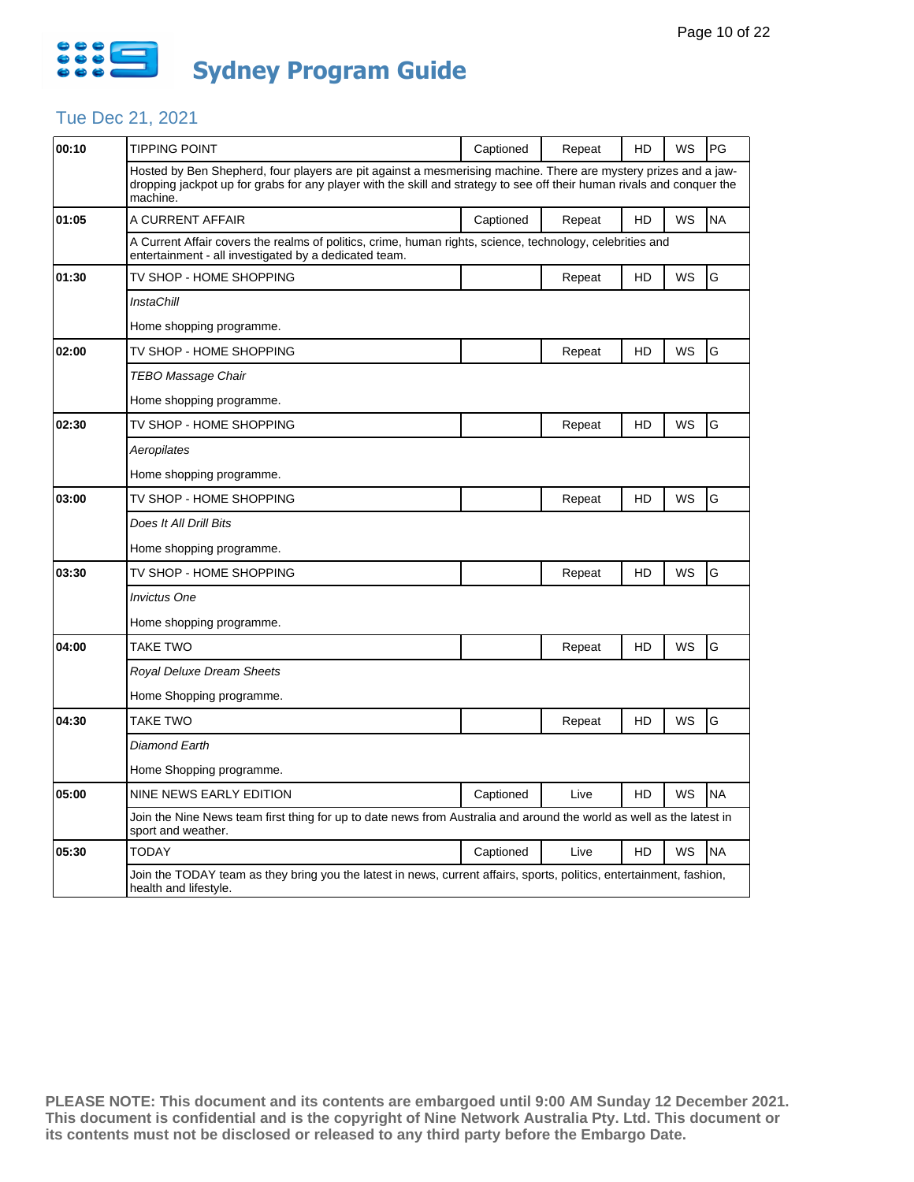

### Tue Dec 21, 2021

| 00:10 | TIPPING POINT                                                                                                                                                                                                                                         | Captioned | Repeat | HD | WS        | PG        |  |  |  |
|-------|-------------------------------------------------------------------------------------------------------------------------------------------------------------------------------------------------------------------------------------------------------|-----------|--------|----|-----------|-----------|--|--|--|
|       | Hosted by Ben Shepherd, four players are pit against a mesmerising machine. There are mystery prizes and a jaw-<br>dropping jackpot up for grabs for any player with the skill and strategy to see off their human rivals and conquer the<br>machine. |           |        |    |           |           |  |  |  |
| 01:05 | A CURRENT AFFAIR                                                                                                                                                                                                                                      | Captioned | Repeat | HD | WS        | <b>NA</b> |  |  |  |
|       | A Current Affair covers the realms of politics, crime, human rights, science, technology, celebrities and<br>entertainment - all investigated by a dedicated team.                                                                                    |           |        |    |           |           |  |  |  |
| 01:30 | TV SHOP - HOME SHOPPING                                                                                                                                                                                                                               |           | Repeat | HD | WS        | G         |  |  |  |
|       | <b>InstaChill</b>                                                                                                                                                                                                                                     |           |        |    |           |           |  |  |  |
|       | Home shopping programme.                                                                                                                                                                                                                              |           |        |    |           |           |  |  |  |
| 02:00 | TV SHOP - HOME SHOPPING                                                                                                                                                                                                                               |           | Repeat | HD | WS        | G         |  |  |  |
|       | TEBO Massage Chair                                                                                                                                                                                                                                    |           |        |    |           |           |  |  |  |
|       | Home shopping programme.                                                                                                                                                                                                                              |           |        |    |           |           |  |  |  |
| 02:30 | TV SHOP - HOME SHOPPING                                                                                                                                                                                                                               |           | Repeat | HD | WS        | G         |  |  |  |
|       | Aeropilates                                                                                                                                                                                                                                           |           |        |    |           |           |  |  |  |
|       | Home shopping programme.                                                                                                                                                                                                                              |           |        |    |           |           |  |  |  |
| 03:00 | TV SHOP - HOME SHOPPING                                                                                                                                                                                                                               |           | Repeat | HD | WS        | G         |  |  |  |
|       | Does It All Drill Bits                                                                                                                                                                                                                                |           |        |    |           |           |  |  |  |
|       | Home shopping programme.                                                                                                                                                                                                                              |           |        |    |           |           |  |  |  |
| 03:30 | TV SHOP - HOME SHOPPING                                                                                                                                                                                                                               |           | Repeat | HD | <b>WS</b> | G         |  |  |  |
|       | <b>Invictus One</b>                                                                                                                                                                                                                                   |           |        |    |           |           |  |  |  |
|       | Home shopping programme.                                                                                                                                                                                                                              |           |        |    |           |           |  |  |  |
| 04:00 | <b>TAKE TWO</b>                                                                                                                                                                                                                                       |           | Repeat | HD | WS        | G         |  |  |  |
|       | Royal Deluxe Dream Sheets                                                                                                                                                                                                                             |           |        |    |           |           |  |  |  |
|       | Home Shopping programme.                                                                                                                                                                                                                              |           |        |    |           |           |  |  |  |
| 04:30 | TAKE TWO                                                                                                                                                                                                                                              |           | Repeat | HD | WS        | G         |  |  |  |
|       | Diamond Earth                                                                                                                                                                                                                                         |           |        |    |           |           |  |  |  |
|       | Home Shopping programme.                                                                                                                                                                                                                              |           |        |    |           |           |  |  |  |
| 05:00 | NINE NEWS EARLY EDITION                                                                                                                                                                                                                               | Captioned | Live   | HD | <b>WS</b> | <b>NA</b> |  |  |  |
|       | Join the Nine News team first thing for up to date news from Australia and around the world as well as the latest in<br>sport and weather.                                                                                                            |           |        |    |           |           |  |  |  |
| 05:30 | <b>TODAY</b>                                                                                                                                                                                                                                          | Captioned | Live   | HD | WS        | <b>NA</b> |  |  |  |
|       | Join the TODAY team as they bring you the latest in news, current affairs, sports, politics, entertainment, fashion,<br>health and lifestyle.                                                                                                         |           |        |    |           |           |  |  |  |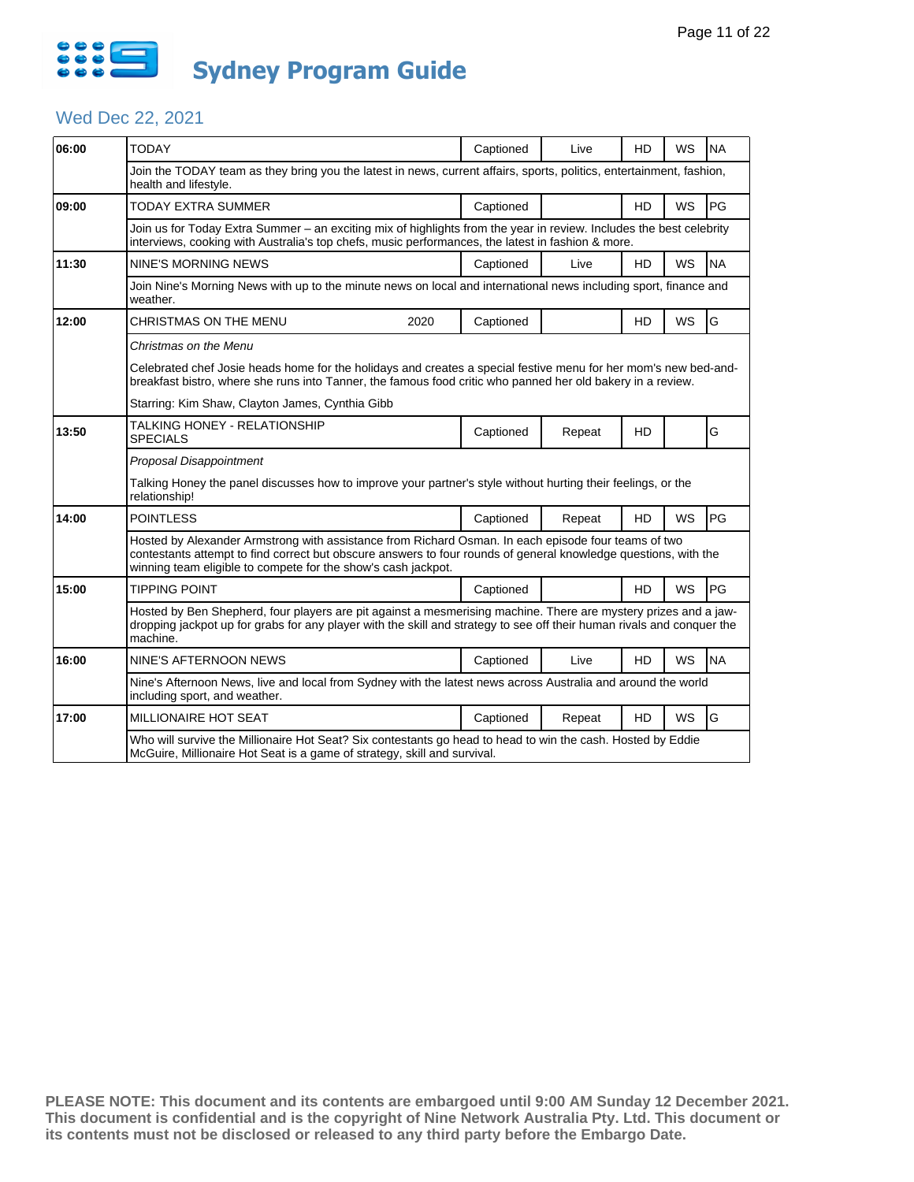

# Wed Dec 22, 2021

| 06:00 | <b>TODAY</b>                                                                                                                                                                                                                                                                            |      | Captioned | Live   | <b>HD</b> | <b>WS</b> | <b>NA</b> |  |  |
|-------|-----------------------------------------------------------------------------------------------------------------------------------------------------------------------------------------------------------------------------------------------------------------------------------------|------|-----------|--------|-----------|-----------|-----------|--|--|
|       | Join the TODAY team as they bring you the latest in news, current affairs, sports, politics, entertainment, fashion,<br>health and lifestyle.                                                                                                                                           |      |           |        |           |           |           |  |  |
| 09:00 | <b>TODAY EXTRA SUMMER</b>                                                                                                                                                                                                                                                               |      | Captioned |        | <b>HD</b> | <b>WS</b> | PG        |  |  |
|       | Join us for Today Extra Summer - an exciting mix of highlights from the year in review. Includes the best celebrity<br>interviews, cooking with Australia's top chefs, music performances, the latest in fashion & more.                                                                |      |           |        |           |           |           |  |  |
| 11:30 | <b>NINE'S MORNING NEWS</b>                                                                                                                                                                                                                                                              |      | Captioned | Live   | HD        | WS        | <b>NA</b> |  |  |
|       | Join Nine's Morning News with up to the minute news on local and international news including sport, finance and<br>weather.                                                                                                                                                            |      |           |        |           |           |           |  |  |
| 12:00 | CHRISTMAS ON THE MENU                                                                                                                                                                                                                                                                   | 2020 | Captioned |        | HD        | WS        | G         |  |  |
|       | Christmas on the Menu                                                                                                                                                                                                                                                                   |      |           |        |           |           |           |  |  |
|       | Celebrated chef Josie heads home for the holidays and creates a special festive menu for her mom's new bed-and-<br>breakfast bistro, where she runs into Tanner, the famous food critic who panned her old bakery in a review.                                                          |      |           |        |           |           |           |  |  |
|       | Starring: Kim Shaw, Clayton James, Cynthia Gibb                                                                                                                                                                                                                                         |      |           |        |           |           |           |  |  |
| 13:50 | TALKING HONEY - RELATIONSHIP<br><b>SPECIALS</b>                                                                                                                                                                                                                                         |      | Captioned | Repeat | HD        |           | G         |  |  |
|       | Proposal Disappointment                                                                                                                                                                                                                                                                 |      |           |        |           |           |           |  |  |
|       | Talking Honey the panel discusses how to improve your partner's style without hurting their feelings, or the<br>relationship!                                                                                                                                                           |      |           |        |           |           |           |  |  |
| 14:00 | <b>POINTLESS</b>                                                                                                                                                                                                                                                                        |      | Captioned | Repeat | HD        | <b>WS</b> | PG        |  |  |
|       | Hosted by Alexander Armstrong with assistance from Richard Osman. In each episode four teams of two<br>contestants attempt to find correct but obscure answers to four rounds of general knowledge questions, with the<br>winning team eligible to compete for the show's cash jackpot. |      |           |        |           |           |           |  |  |
| 15:00 | <b>TIPPING POINT</b>                                                                                                                                                                                                                                                                    |      | Captioned |        | <b>HD</b> | <b>WS</b> | PG        |  |  |
|       | Hosted by Ben Shepherd, four players are pit against a mesmerising machine. There are mystery prizes and a jaw-<br>dropping jackpot up for grabs for any player with the skill and strategy to see off their human rivals and conquer the<br>machine.                                   |      |           |        |           |           |           |  |  |
| 16:00 | NINE'S AFTERNOON NEWS                                                                                                                                                                                                                                                                   |      | Captioned | Live   | <b>HD</b> | <b>WS</b> | <b>NA</b> |  |  |
|       | Nine's Afternoon News, live and local from Sydney with the latest news across Australia and around the world<br>including sport, and weather.                                                                                                                                           |      |           |        |           |           |           |  |  |
| 17:00 |                                                                                                                                                                                                                                                                                         |      |           |        |           |           |           |  |  |
|       | <b>MILLIONAIRE HOT SEAT</b>                                                                                                                                                                                                                                                             |      | Captioned | Repeat | <b>HD</b> | <b>WS</b> | G         |  |  |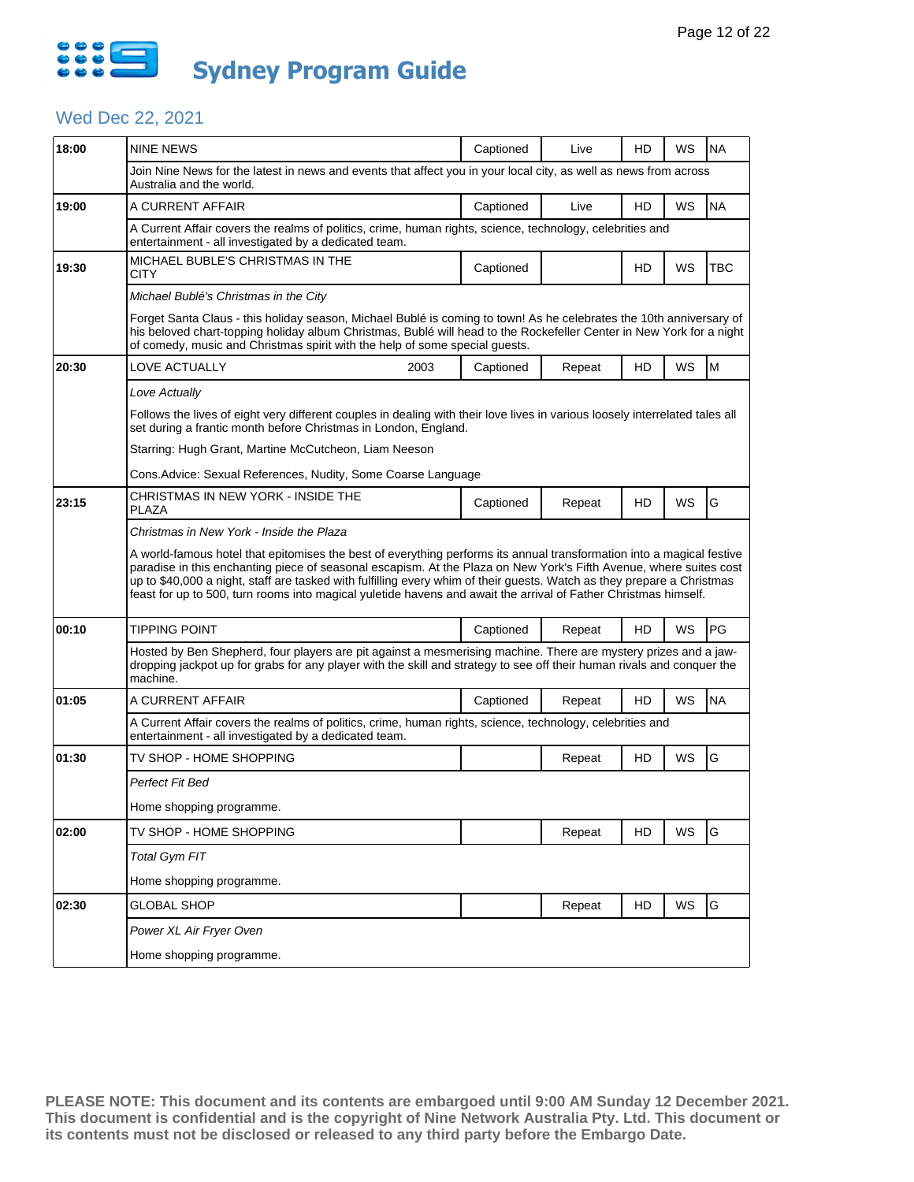

## Wed Dec 22, 2021

| 18:00          | <b>NINE NEWS</b>                                                                                                                                                                                                                                                                                                                                                                                                                                                                         | Captioned | Live   | HD        | WS        | <b>NA</b> |  |  |  |  |
|----------------|------------------------------------------------------------------------------------------------------------------------------------------------------------------------------------------------------------------------------------------------------------------------------------------------------------------------------------------------------------------------------------------------------------------------------------------------------------------------------------------|-----------|--------|-----------|-----------|-----------|--|--|--|--|
|                | Join Nine News for the latest in news and events that affect you in your local city, as well as news from across<br>Australia and the world.                                                                                                                                                                                                                                                                                                                                             |           |        |           |           |           |  |  |  |  |
| 19:00          | A CURRENT AFFAIR                                                                                                                                                                                                                                                                                                                                                                                                                                                                         | Captioned | Live   | HD        | WS        | <b>NA</b> |  |  |  |  |
|                | A Current Affair covers the realms of politics, crime, human rights, science, technology, celebrities and<br>entertainment - all investigated by a dedicated team.                                                                                                                                                                                                                                                                                                                       |           |        |           |           |           |  |  |  |  |
| 19:30          | MICHAEL BUBLE'S CHRISTMAS IN THE<br>CITY                                                                                                                                                                                                                                                                                                                                                                                                                                                 | Captioned |        | HD        | WS        | TBC       |  |  |  |  |
|                | Michael Bublé's Christmas in the City                                                                                                                                                                                                                                                                                                                                                                                                                                                    |           |        |           |           |           |  |  |  |  |
|                | Forget Santa Claus - this holiday season, Michael Bublé is coming to town! As he celebrates the 10th anniversary of<br>his beloved chart-topping holiday album Christmas, Bublé will head to the Rockefeller Center in New York for a night<br>of comedy, music and Christmas spirit with the help of some special guests.                                                                                                                                                               |           |        |           |           |           |  |  |  |  |
| 20:30          | LOVE ACTUALLY<br>2003                                                                                                                                                                                                                                                                                                                                                                                                                                                                    | Captioned | Repeat | HD        | WS        | M         |  |  |  |  |
|                | Love Actually                                                                                                                                                                                                                                                                                                                                                                                                                                                                            |           |        |           |           |           |  |  |  |  |
|                | Follows the lives of eight very different couples in dealing with their love lives in various loosely interrelated tales all<br>set during a frantic month before Christmas in London, England.                                                                                                                                                                                                                                                                                          |           |        |           |           |           |  |  |  |  |
|                | Starring: Hugh Grant, Martine McCutcheon, Liam Neeson                                                                                                                                                                                                                                                                                                                                                                                                                                    |           |        |           |           |           |  |  |  |  |
|                | Cons.Advice: Sexual References, Nudity, Some Coarse Language                                                                                                                                                                                                                                                                                                                                                                                                                             |           |        |           |           |           |  |  |  |  |
| 23:15          | CHRISTMAS IN NEW YORK - INSIDE THE<br>PLAZA                                                                                                                                                                                                                                                                                                                                                                                                                                              | Captioned | Repeat | HD        | WS        | G         |  |  |  |  |
|                | Christmas in New York - Inside the Plaza                                                                                                                                                                                                                                                                                                                                                                                                                                                 |           |        |           |           |           |  |  |  |  |
|                | A world-famous hotel that epitomises the best of everything performs its annual transformation into a magical festive<br>paradise in this enchanting piece of seasonal escapism. At the Plaza on New York's Fifth Avenue, where suites cost<br>up to \$40,000 a night, staff are tasked with fulfilling every whim of their guests. Watch as they prepare a Christmas<br>feast for up to 500, turn rooms into magical yuletide havens and await the arrival of Father Christmas himself. |           |        |           |           |           |  |  |  |  |
| 00:10          | <b>TIPPING POINT</b>                                                                                                                                                                                                                                                                                                                                                                                                                                                                     |           |        |           |           |           |  |  |  |  |
|                | Hosted by Ben Shepherd, four players are pit against a mesmerising machine. There are mystery prizes and a jaw-<br>dropping jackpot up for grabs for any player with the skill and strategy to see off their human rivals and conquer the                                                                                                                                                                                                                                                |           |        |           |           |           |  |  |  |  |
|                | machine.                                                                                                                                                                                                                                                                                                                                                                                                                                                                                 | Captioned | Repeat | HD        | <b>WS</b> | PG        |  |  |  |  |
| 01:05          | A CURRENT AFFAIR                                                                                                                                                                                                                                                                                                                                                                                                                                                                         | Captioned | Repeat | HD        | WS        | <b>NA</b> |  |  |  |  |
|                | A Current Affair covers the realms of politics, crime, human rights, science, technology, celebrities and<br>entertainment - all investigated by a dedicated team.                                                                                                                                                                                                                                                                                                                       |           |        |           |           |           |  |  |  |  |
| 01:30          | TV SHOP - HOME SHOPPING                                                                                                                                                                                                                                                                                                                                                                                                                                                                  |           | Repeat | <b>HD</b> | WS        | G         |  |  |  |  |
|                | Perfect Fit Bed                                                                                                                                                                                                                                                                                                                                                                                                                                                                          |           |        |           |           |           |  |  |  |  |
|                | Home shopping programme.                                                                                                                                                                                                                                                                                                                                                                                                                                                                 |           |        |           |           |           |  |  |  |  |
|                | TV SHOP - HOME SHOPPING                                                                                                                                                                                                                                                                                                                                                                                                                                                                  |           | Repeat | HD        | WS        | G         |  |  |  |  |
|                | Total Gym FIT                                                                                                                                                                                                                                                                                                                                                                                                                                                                            |           |        |           |           |           |  |  |  |  |
|                | Home shopping programme.                                                                                                                                                                                                                                                                                                                                                                                                                                                                 |           |        |           |           |           |  |  |  |  |
| 02:00<br>02:30 | <b>GLOBAL SHOP</b>                                                                                                                                                                                                                                                                                                                                                                                                                                                                       |           | Repeat | HD        | WS        | G         |  |  |  |  |
|                | Power XL Air Fryer Oven                                                                                                                                                                                                                                                                                                                                                                                                                                                                  |           |        |           |           |           |  |  |  |  |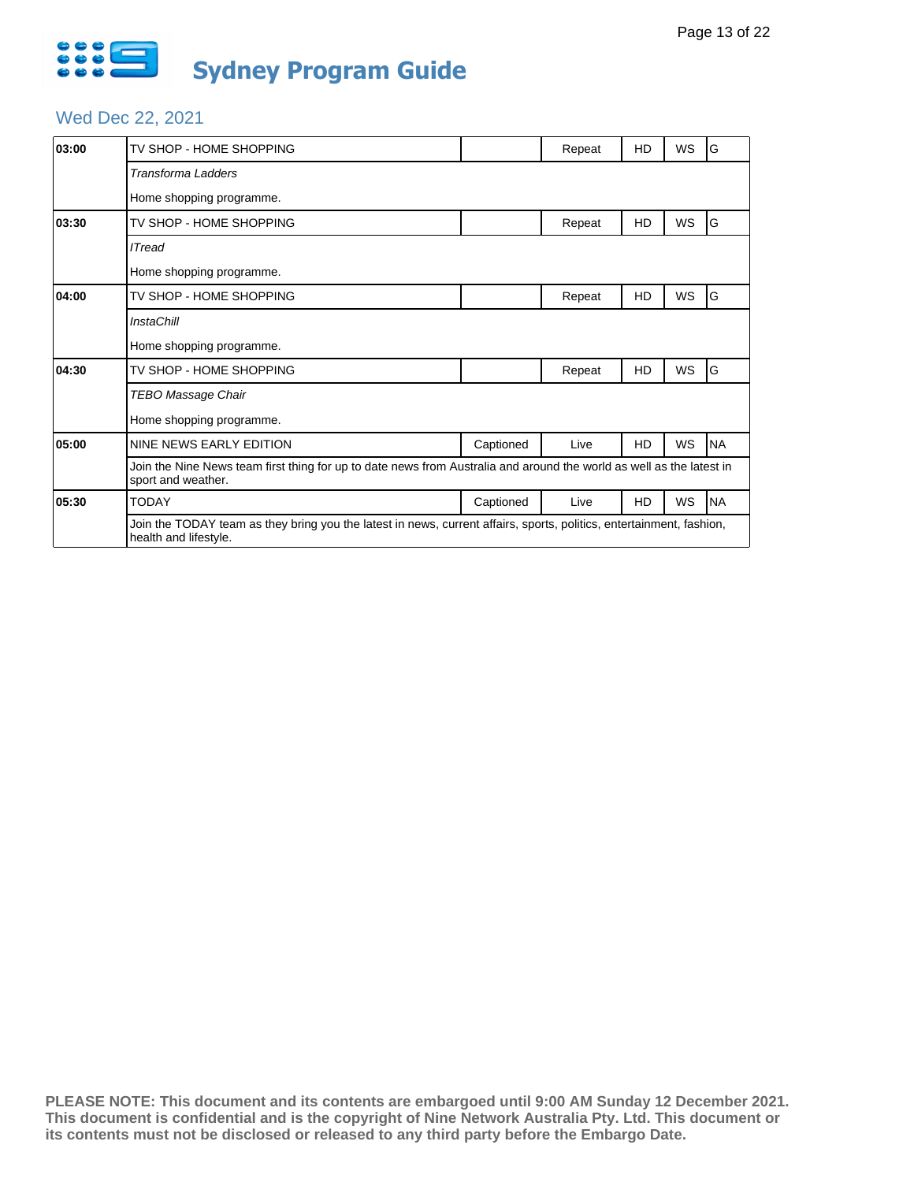

#### Wed Dec 22, 2021

| 03:00 | TV SHOP - HOME SHOPPING                                                                                                                       |           | Repeat | HD        | WS        | G         |  |  |  |  |
|-------|-----------------------------------------------------------------------------------------------------------------------------------------------|-----------|--------|-----------|-----------|-----------|--|--|--|--|
|       | Transforma Ladders                                                                                                                            |           |        |           |           |           |  |  |  |  |
|       | Home shopping programme.                                                                                                                      |           |        |           |           |           |  |  |  |  |
| 03:30 | TV SHOP - HOME SHOPPING                                                                                                                       |           | Repeat | HD        | <b>WS</b> | G         |  |  |  |  |
|       | <b>ITread</b>                                                                                                                                 |           |        |           |           |           |  |  |  |  |
|       | Home shopping programme.                                                                                                                      |           |        |           |           |           |  |  |  |  |
| 04:00 | TV SHOP - HOME SHOPPING                                                                                                                       |           | Repeat | HD        | WS        | G         |  |  |  |  |
|       | <b>InstaChill</b>                                                                                                                             |           |        |           |           |           |  |  |  |  |
|       | Home shopping programme.                                                                                                                      |           |        |           |           |           |  |  |  |  |
| 04:30 | TV SHOP - HOME SHOPPING                                                                                                                       |           | Repeat | HD        | WS        | G         |  |  |  |  |
|       | TEBO Massage Chair                                                                                                                            |           |        |           |           |           |  |  |  |  |
|       | Home shopping programme.                                                                                                                      |           |        |           |           |           |  |  |  |  |
| 05:00 | NINE NEWS EARLY EDITION                                                                                                                       | Captioned | Live   | <b>HD</b> | WS        | <b>NA</b> |  |  |  |  |
|       | Join the Nine News team first thing for up to date news from Australia and around the world as well as the latest in<br>sport and weather.    |           |        |           |           |           |  |  |  |  |
| 05:30 | <b>TODAY</b>                                                                                                                                  | Captioned | Live   | <b>HD</b> | WS        | <b>NA</b> |  |  |  |  |
|       | Join the TODAY team as they bring you the latest in news, current affairs, sports, politics, entertainment, fashion,<br>health and lifestyle. |           |        |           |           |           |  |  |  |  |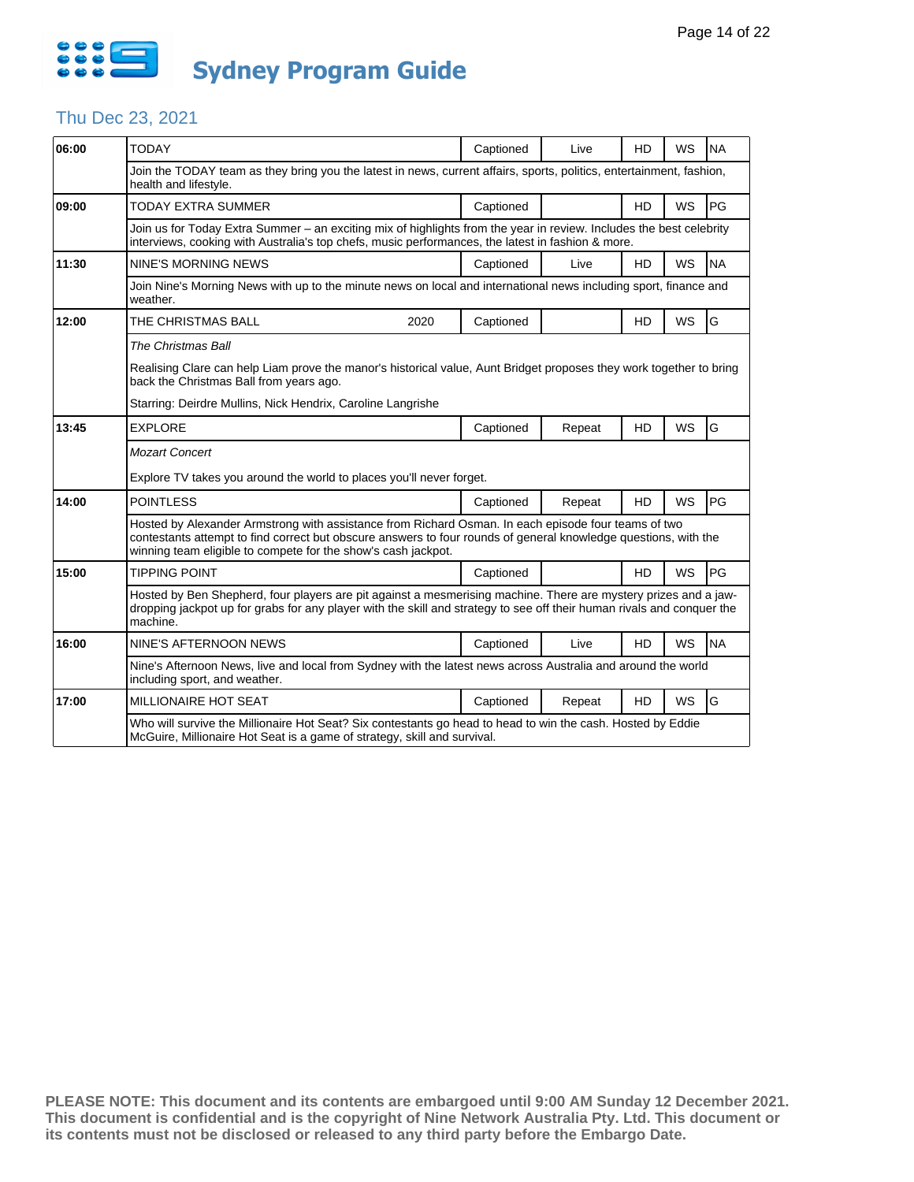

## Thu Dec 23, 2021

| 06:00 | <b>TODAY</b>                                                                                                                                                                                                                                                                            |                                                                                                                     | Captioned | Live   | HD        | <b>WS</b> | <b>NA</b> |  |  |
|-------|-----------------------------------------------------------------------------------------------------------------------------------------------------------------------------------------------------------------------------------------------------------------------------------------|---------------------------------------------------------------------------------------------------------------------|-----------|--------|-----------|-----------|-----------|--|--|
|       |                                                                                                                                                                                                                                                                                         |                                                                                                                     |           |        |           |           |           |  |  |
|       | Join the TODAY team as they bring you the latest in news, current affairs, sports, politics, entertainment, fashion,<br>health and lifestyle.                                                                                                                                           |                                                                                                                     |           |        |           |           |           |  |  |
| 09:00 | <b>TODAY EXTRA SUMMER</b>                                                                                                                                                                                                                                                               |                                                                                                                     | Captioned |        | <b>HD</b> | <b>WS</b> | PG        |  |  |
|       | Join us for Today Extra Summer – an exciting mix of highlights from the year in review. Includes the best celebrity<br>interviews, cooking with Australia's top chefs, music performances, the latest in fashion & more.                                                                |                                                                                                                     |           |        |           |           |           |  |  |
| 11:30 | <b>NINE'S MORNING NEWS</b>                                                                                                                                                                                                                                                              |                                                                                                                     | Captioned | Live   | <b>HD</b> | <b>WS</b> | <b>NA</b> |  |  |
|       | Join Nine's Morning News with up to the minute news on local and international news including sport, finance and<br>weather.                                                                                                                                                            |                                                                                                                     |           |        |           |           |           |  |  |
| 12:00 | THE CHRISTMAS BALL                                                                                                                                                                                                                                                                      | 2020                                                                                                                | Captioned |        | <b>HD</b> | WS        | G         |  |  |
|       | The Christmas Ball                                                                                                                                                                                                                                                                      |                                                                                                                     |           |        |           |           |           |  |  |
|       | back the Christmas Ball from years ago.                                                                                                                                                                                                                                                 | Realising Clare can help Liam prove the manor's historical value, Aunt Bridget proposes they work together to bring |           |        |           |           |           |  |  |
|       | Starring: Deirdre Mullins, Nick Hendrix, Caroline Langrishe                                                                                                                                                                                                                             |                                                                                                                     |           |        |           |           |           |  |  |
| 13:45 | <b>EXPLORE</b>                                                                                                                                                                                                                                                                          |                                                                                                                     | Captioned | Repeat | <b>HD</b> | <b>WS</b> | G         |  |  |
|       | <b>Mozart Concert</b>                                                                                                                                                                                                                                                                   |                                                                                                                     |           |        |           |           |           |  |  |
|       | Explore TV takes you around the world to places you'll never forget.                                                                                                                                                                                                                    |                                                                                                                     |           |        |           |           |           |  |  |
| 14:00 | <b>POINTLESS</b>                                                                                                                                                                                                                                                                        |                                                                                                                     | Captioned | Repeat | HD        | <b>WS</b> | PG        |  |  |
|       | Hosted by Alexander Armstrong with assistance from Richard Osman. In each episode four teams of two<br>contestants attempt to find correct but obscure answers to four rounds of general knowledge questions, with the<br>winning team eligible to compete for the show's cash jackpot. |                                                                                                                     |           |        |           |           |           |  |  |
| 15:00 | <b>TIPPING POINT</b>                                                                                                                                                                                                                                                                    |                                                                                                                     | Captioned |        | <b>HD</b> | <b>WS</b> | PG        |  |  |
|       | Hosted by Ben Shepherd, four players are pit against a mesmerising machine. There are mystery prizes and a jaw-<br>dropping jackpot up for grabs for any player with the skill and strategy to see off their human rivals and conquer the<br>machine.                                   |                                                                                                                     |           |        |           |           |           |  |  |
| 16:00 |                                                                                                                                                                                                                                                                                         |                                                                                                                     |           | Live   | <b>HD</b> | <b>WS</b> | <b>NA</b> |  |  |
|       | NINE'S AFTERNOON NEWS                                                                                                                                                                                                                                                                   |                                                                                                                     | Captioned |        |           |           |           |  |  |
|       | Nine's Afternoon News, live and local from Sydney with the latest news across Australia and around the world<br>including sport, and weather.                                                                                                                                           |                                                                                                                     |           |        |           |           |           |  |  |
| 17:00 | <b>MILLIONAIRE HOT SEAT</b>                                                                                                                                                                                                                                                             |                                                                                                                     | Captioned | Repeat | <b>HD</b> | <b>WS</b> | G         |  |  |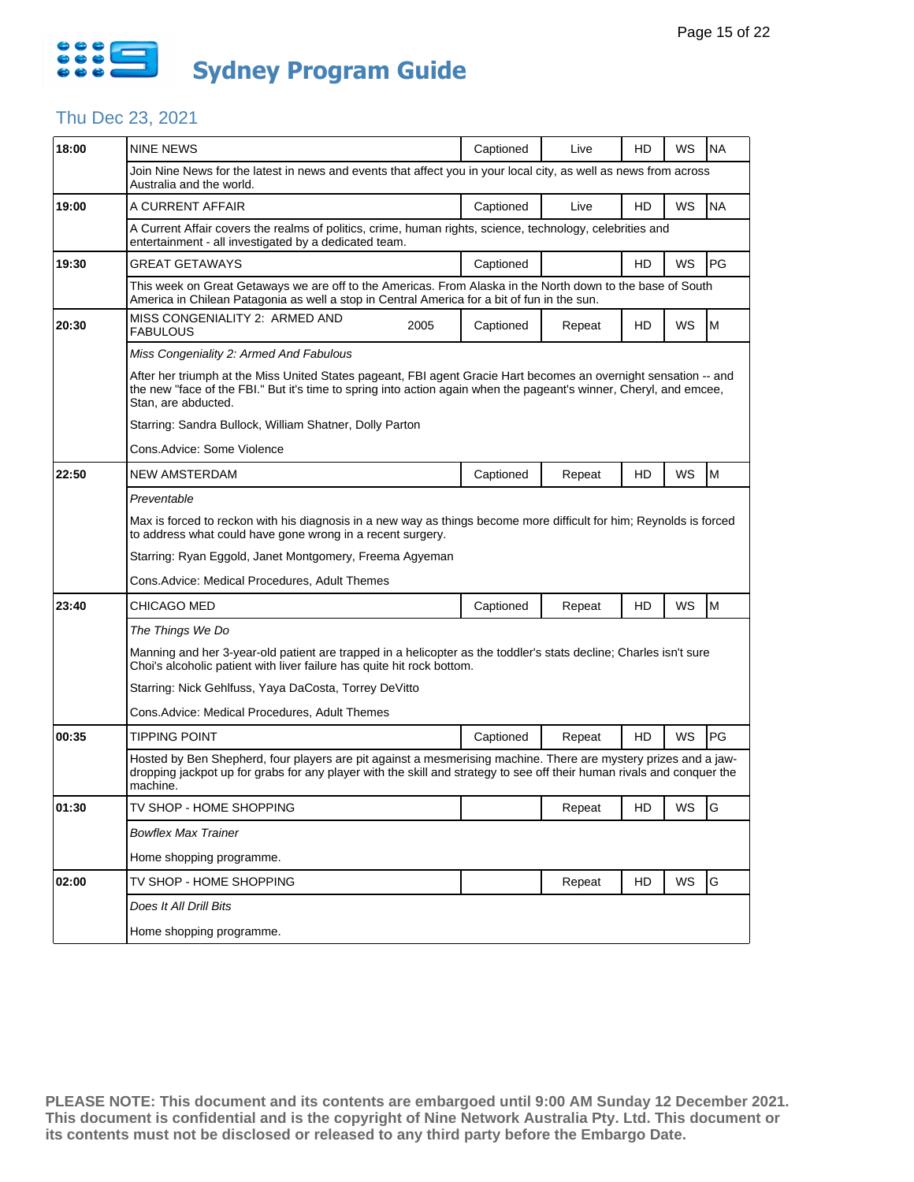

## Thu Dec 23, 2021

| Join Nine News for the latest in news and events that affect you in your local city, as well as news from across<br>Australia and the world.<br>WS<br><b>NA</b><br>19:00<br>A CURRENT AFFAIR<br>Captioned<br>HD<br>Live<br>A Current Affair covers the realms of politics, crime, human rights, science, technology, celebrities and<br>entertainment - all investigated by a dedicated team.<br>PG<br>Captioned<br>WS<br>19:30<br>GREAT GETAWAYS<br>HD<br>This week on Great Getaways we are off to the Americas. From Alaska in the North down to the base of South<br>America in Chilean Patagonia as well a stop in Central America for a bit of fun in the sun.<br>MISS CONGENIALITY 2: ARMED AND<br>WS<br>20:30<br>2005<br>HD<br>M<br>Captioned<br>Repeat<br><b>FABULOUS</b><br>Miss Congeniality 2: Armed And Fabulous<br>After her triumph at the Miss United States pageant, FBI agent Gracie Hart becomes an overnight sensation -- and<br>the new "face of the FBI." But it's time to spring into action again when the pageant's winner, Cheryl, and emcee,<br>Stan, are abducted.<br>Starring: Sandra Bullock, William Shatner, Dolly Parton<br>Cons.Advice: Some Violence<br>WS<br>M<br>22:50<br><b>NEW AMSTERDAM</b><br>Captioned<br>HD<br>Repeat<br>Preventable<br>Max is forced to reckon with his diagnosis in a new way as things become more difficult for him; Reynolds is forced<br>to address what could have gone wrong in a recent surgery.<br>Starring: Ryan Eggold, Janet Montgomery, Freema Agyeman<br>Cons.Advice: Medical Procedures, Adult Themes<br>M<br>23:40<br>CHICAGO MED<br><b>HD</b><br>WS<br>Captioned<br>Repeat<br>The Things We Do<br>Manning and her 3-year-old patient are trapped in a helicopter as the toddler's stats decline; Charles isn't sure<br>Choi's alcoholic patient with liver failure has quite hit rock bottom.<br>Starring: Nick Gehlfuss, Yaya DaCosta, Torrey DeVitto<br>Cons.Advice: Medical Procedures. Adult Themes<br>PG<br><b>HD</b><br>WS<br>00:35<br>TIPPING POINT<br>Captioned<br>Repeat<br>Hosted by Ben Shepherd, four players are pit against a mesmerising machine. There are mystery prizes and a jaw-<br>dropping jackpot up for grabs for any player with the skill and strategy to see off their human rivals and conquer the<br>machine.<br>TV SHOP - HOME SHOPPING<br>01:30<br>Repeat<br>HD<br>ws<br>G<br><b>Bowflex Max Trainer</b><br>Home shopping programme.<br>WS<br>G<br>02:00<br>HD<br>TV SHOP - HOME SHOPPING<br>Repeat<br>Does It All Drill Bits<br>Home shopping programme. | 18:00 | <b>NINE NEWS</b> |  | Captioned | Live | HD | WS | <b>NA</b> |  |  |
|-----------------------------------------------------------------------------------------------------------------------------------------------------------------------------------------------------------------------------------------------------------------------------------------------------------------------------------------------------------------------------------------------------------------------------------------------------------------------------------------------------------------------------------------------------------------------------------------------------------------------------------------------------------------------------------------------------------------------------------------------------------------------------------------------------------------------------------------------------------------------------------------------------------------------------------------------------------------------------------------------------------------------------------------------------------------------------------------------------------------------------------------------------------------------------------------------------------------------------------------------------------------------------------------------------------------------------------------------------------------------------------------------------------------------------------------------------------------------------------------------------------------------------------------------------------------------------------------------------------------------------------------------------------------------------------------------------------------------------------------------------------------------------------------------------------------------------------------------------------------------------------------------------------------------------------------------------------------------------------------------------------------------------------------------------------------------------------------------------------------------------------------------------------------------------------------------------------------------------------------------------------------------------------------------------------------------------------------------------------------------------------------------------------------------------------------------------------------------------------------------------------------------------------------------------------------------|-------|------------------|--|-----------|------|----|----|-----------|--|--|
|                                                                                                                                                                                                                                                                                                                                                                                                                                                                                                                                                                                                                                                                                                                                                                                                                                                                                                                                                                                                                                                                                                                                                                                                                                                                                                                                                                                                                                                                                                                                                                                                                                                                                                                                                                                                                                                                                                                                                                                                                                                                                                                                                                                                                                                                                                                                                                                                                                                                                                                                                                       |       |                  |  |           |      |    |    |           |  |  |
|                                                                                                                                                                                                                                                                                                                                                                                                                                                                                                                                                                                                                                                                                                                                                                                                                                                                                                                                                                                                                                                                                                                                                                                                                                                                                                                                                                                                                                                                                                                                                                                                                                                                                                                                                                                                                                                                                                                                                                                                                                                                                                                                                                                                                                                                                                                                                                                                                                                                                                                                                                       |       |                  |  |           |      |    |    |           |  |  |
|                                                                                                                                                                                                                                                                                                                                                                                                                                                                                                                                                                                                                                                                                                                                                                                                                                                                                                                                                                                                                                                                                                                                                                                                                                                                                                                                                                                                                                                                                                                                                                                                                                                                                                                                                                                                                                                                                                                                                                                                                                                                                                                                                                                                                                                                                                                                                                                                                                                                                                                                                                       |       |                  |  |           |      |    |    |           |  |  |
|                                                                                                                                                                                                                                                                                                                                                                                                                                                                                                                                                                                                                                                                                                                                                                                                                                                                                                                                                                                                                                                                                                                                                                                                                                                                                                                                                                                                                                                                                                                                                                                                                                                                                                                                                                                                                                                                                                                                                                                                                                                                                                                                                                                                                                                                                                                                                                                                                                                                                                                                                                       |       |                  |  |           |      |    |    |           |  |  |
|                                                                                                                                                                                                                                                                                                                                                                                                                                                                                                                                                                                                                                                                                                                                                                                                                                                                                                                                                                                                                                                                                                                                                                                                                                                                                                                                                                                                                                                                                                                                                                                                                                                                                                                                                                                                                                                                                                                                                                                                                                                                                                                                                                                                                                                                                                                                                                                                                                                                                                                                                                       |       |                  |  |           |      |    |    |           |  |  |
|                                                                                                                                                                                                                                                                                                                                                                                                                                                                                                                                                                                                                                                                                                                                                                                                                                                                                                                                                                                                                                                                                                                                                                                                                                                                                                                                                                                                                                                                                                                                                                                                                                                                                                                                                                                                                                                                                                                                                                                                                                                                                                                                                                                                                                                                                                                                                                                                                                                                                                                                                                       |       |                  |  |           |      |    |    |           |  |  |
|                                                                                                                                                                                                                                                                                                                                                                                                                                                                                                                                                                                                                                                                                                                                                                                                                                                                                                                                                                                                                                                                                                                                                                                                                                                                                                                                                                                                                                                                                                                                                                                                                                                                                                                                                                                                                                                                                                                                                                                                                                                                                                                                                                                                                                                                                                                                                                                                                                                                                                                                                                       |       |                  |  |           |      |    |    |           |  |  |
|                                                                                                                                                                                                                                                                                                                                                                                                                                                                                                                                                                                                                                                                                                                                                                                                                                                                                                                                                                                                                                                                                                                                                                                                                                                                                                                                                                                                                                                                                                                                                                                                                                                                                                                                                                                                                                                                                                                                                                                                                                                                                                                                                                                                                                                                                                                                                                                                                                                                                                                                                                       |       |                  |  |           |      |    |    |           |  |  |
|                                                                                                                                                                                                                                                                                                                                                                                                                                                                                                                                                                                                                                                                                                                                                                                                                                                                                                                                                                                                                                                                                                                                                                                                                                                                                                                                                                                                                                                                                                                                                                                                                                                                                                                                                                                                                                                                                                                                                                                                                                                                                                                                                                                                                                                                                                                                                                                                                                                                                                                                                                       |       |                  |  |           |      |    |    |           |  |  |
|                                                                                                                                                                                                                                                                                                                                                                                                                                                                                                                                                                                                                                                                                                                                                                                                                                                                                                                                                                                                                                                                                                                                                                                                                                                                                                                                                                                                                                                                                                                                                                                                                                                                                                                                                                                                                                                                                                                                                                                                                                                                                                                                                                                                                                                                                                                                                                                                                                                                                                                                                                       |       |                  |  |           |      |    |    |           |  |  |
|                                                                                                                                                                                                                                                                                                                                                                                                                                                                                                                                                                                                                                                                                                                                                                                                                                                                                                                                                                                                                                                                                                                                                                                                                                                                                                                                                                                                                                                                                                                                                                                                                                                                                                                                                                                                                                                                                                                                                                                                                                                                                                                                                                                                                                                                                                                                                                                                                                                                                                                                                                       |       |                  |  |           |      |    |    |           |  |  |
|                                                                                                                                                                                                                                                                                                                                                                                                                                                                                                                                                                                                                                                                                                                                                                                                                                                                                                                                                                                                                                                                                                                                                                                                                                                                                                                                                                                                                                                                                                                                                                                                                                                                                                                                                                                                                                                                                                                                                                                                                                                                                                                                                                                                                                                                                                                                                                                                                                                                                                                                                                       |       |                  |  |           |      |    |    |           |  |  |
|                                                                                                                                                                                                                                                                                                                                                                                                                                                                                                                                                                                                                                                                                                                                                                                                                                                                                                                                                                                                                                                                                                                                                                                                                                                                                                                                                                                                                                                                                                                                                                                                                                                                                                                                                                                                                                                                                                                                                                                                                                                                                                                                                                                                                                                                                                                                                                                                                                                                                                                                                                       |       |                  |  |           |      |    |    |           |  |  |
|                                                                                                                                                                                                                                                                                                                                                                                                                                                                                                                                                                                                                                                                                                                                                                                                                                                                                                                                                                                                                                                                                                                                                                                                                                                                                                                                                                                                                                                                                                                                                                                                                                                                                                                                                                                                                                                                                                                                                                                                                                                                                                                                                                                                                                                                                                                                                                                                                                                                                                                                                                       |       |                  |  |           |      |    |    |           |  |  |
|                                                                                                                                                                                                                                                                                                                                                                                                                                                                                                                                                                                                                                                                                                                                                                                                                                                                                                                                                                                                                                                                                                                                                                                                                                                                                                                                                                                                                                                                                                                                                                                                                                                                                                                                                                                                                                                                                                                                                                                                                                                                                                                                                                                                                                                                                                                                                                                                                                                                                                                                                                       |       |                  |  |           |      |    |    |           |  |  |
|                                                                                                                                                                                                                                                                                                                                                                                                                                                                                                                                                                                                                                                                                                                                                                                                                                                                                                                                                                                                                                                                                                                                                                                                                                                                                                                                                                                                                                                                                                                                                                                                                                                                                                                                                                                                                                                                                                                                                                                                                                                                                                                                                                                                                                                                                                                                                                                                                                                                                                                                                                       |       |                  |  |           |      |    |    |           |  |  |
|                                                                                                                                                                                                                                                                                                                                                                                                                                                                                                                                                                                                                                                                                                                                                                                                                                                                                                                                                                                                                                                                                                                                                                                                                                                                                                                                                                                                                                                                                                                                                                                                                                                                                                                                                                                                                                                                                                                                                                                                                                                                                                                                                                                                                                                                                                                                                                                                                                                                                                                                                                       |       |                  |  |           |      |    |    |           |  |  |
|                                                                                                                                                                                                                                                                                                                                                                                                                                                                                                                                                                                                                                                                                                                                                                                                                                                                                                                                                                                                                                                                                                                                                                                                                                                                                                                                                                                                                                                                                                                                                                                                                                                                                                                                                                                                                                                                                                                                                                                                                                                                                                                                                                                                                                                                                                                                                                                                                                                                                                                                                                       |       |                  |  |           |      |    |    |           |  |  |
|                                                                                                                                                                                                                                                                                                                                                                                                                                                                                                                                                                                                                                                                                                                                                                                                                                                                                                                                                                                                                                                                                                                                                                                                                                                                                                                                                                                                                                                                                                                                                                                                                                                                                                                                                                                                                                                                                                                                                                                                                                                                                                                                                                                                                                                                                                                                                                                                                                                                                                                                                                       |       |                  |  |           |      |    |    |           |  |  |
|                                                                                                                                                                                                                                                                                                                                                                                                                                                                                                                                                                                                                                                                                                                                                                                                                                                                                                                                                                                                                                                                                                                                                                                                                                                                                                                                                                                                                                                                                                                                                                                                                                                                                                                                                                                                                                                                                                                                                                                                                                                                                                                                                                                                                                                                                                                                                                                                                                                                                                                                                                       |       |                  |  |           |      |    |    |           |  |  |
|                                                                                                                                                                                                                                                                                                                                                                                                                                                                                                                                                                                                                                                                                                                                                                                                                                                                                                                                                                                                                                                                                                                                                                                                                                                                                                                                                                                                                                                                                                                                                                                                                                                                                                                                                                                                                                                                                                                                                                                                                                                                                                                                                                                                                                                                                                                                                                                                                                                                                                                                                                       |       |                  |  |           |      |    |    |           |  |  |
|                                                                                                                                                                                                                                                                                                                                                                                                                                                                                                                                                                                                                                                                                                                                                                                                                                                                                                                                                                                                                                                                                                                                                                                                                                                                                                                                                                                                                                                                                                                                                                                                                                                                                                                                                                                                                                                                                                                                                                                                                                                                                                                                                                                                                                                                                                                                                                                                                                                                                                                                                                       |       |                  |  |           |      |    |    |           |  |  |
|                                                                                                                                                                                                                                                                                                                                                                                                                                                                                                                                                                                                                                                                                                                                                                                                                                                                                                                                                                                                                                                                                                                                                                                                                                                                                                                                                                                                                                                                                                                                                                                                                                                                                                                                                                                                                                                                                                                                                                                                                                                                                                                                                                                                                                                                                                                                                                                                                                                                                                                                                                       |       |                  |  |           |      |    |    |           |  |  |
|                                                                                                                                                                                                                                                                                                                                                                                                                                                                                                                                                                                                                                                                                                                                                                                                                                                                                                                                                                                                                                                                                                                                                                                                                                                                                                                                                                                                                                                                                                                                                                                                                                                                                                                                                                                                                                                                                                                                                                                                                                                                                                                                                                                                                                                                                                                                                                                                                                                                                                                                                                       |       |                  |  |           |      |    |    |           |  |  |
|                                                                                                                                                                                                                                                                                                                                                                                                                                                                                                                                                                                                                                                                                                                                                                                                                                                                                                                                                                                                                                                                                                                                                                                                                                                                                                                                                                                                                                                                                                                                                                                                                                                                                                                                                                                                                                                                                                                                                                                                                                                                                                                                                                                                                                                                                                                                                                                                                                                                                                                                                                       |       |                  |  |           |      |    |    |           |  |  |
|                                                                                                                                                                                                                                                                                                                                                                                                                                                                                                                                                                                                                                                                                                                                                                                                                                                                                                                                                                                                                                                                                                                                                                                                                                                                                                                                                                                                                                                                                                                                                                                                                                                                                                                                                                                                                                                                                                                                                                                                                                                                                                                                                                                                                                                                                                                                                                                                                                                                                                                                                                       |       |                  |  |           |      |    |    |           |  |  |
|                                                                                                                                                                                                                                                                                                                                                                                                                                                                                                                                                                                                                                                                                                                                                                                                                                                                                                                                                                                                                                                                                                                                                                                                                                                                                                                                                                                                                                                                                                                                                                                                                                                                                                                                                                                                                                                                                                                                                                                                                                                                                                                                                                                                                                                                                                                                                                                                                                                                                                                                                                       |       |                  |  |           |      |    |    |           |  |  |
|                                                                                                                                                                                                                                                                                                                                                                                                                                                                                                                                                                                                                                                                                                                                                                                                                                                                                                                                                                                                                                                                                                                                                                                                                                                                                                                                                                                                                                                                                                                                                                                                                                                                                                                                                                                                                                                                                                                                                                                                                                                                                                                                                                                                                                                                                                                                                                                                                                                                                                                                                                       |       |                  |  |           |      |    |    |           |  |  |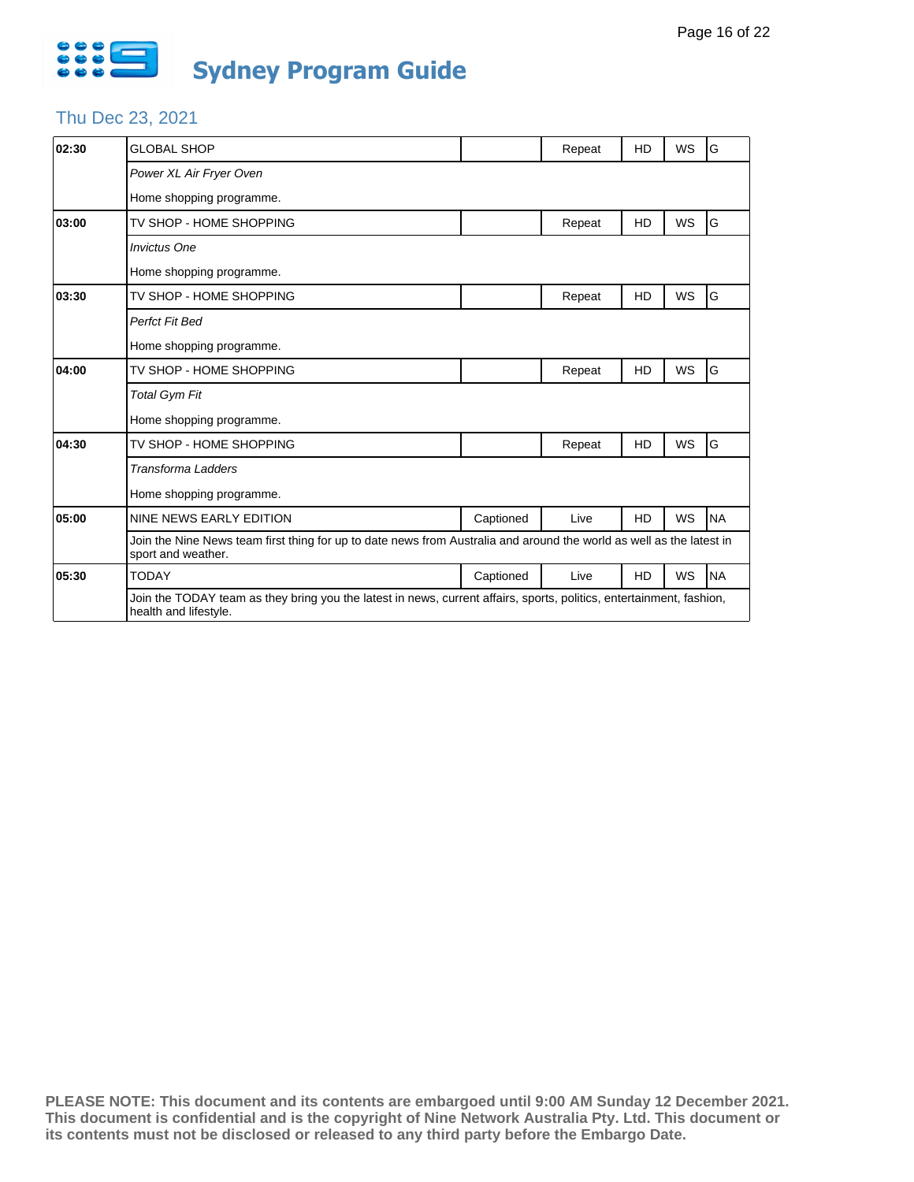

# Thu Dec 23, 2021

| 02:30 | <b>GLOBAL SHOP</b>                                                                                                                            |           | Repeat | <b>HD</b> | <b>WS</b> | G         |  |  |  |
|-------|-----------------------------------------------------------------------------------------------------------------------------------------------|-----------|--------|-----------|-----------|-----------|--|--|--|
|       | Power XL Air Fryer Oven                                                                                                                       |           |        |           |           |           |  |  |  |
|       | Home shopping programme.                                                                                                                      |           |        |           |           |           |  |  |  |
| 03:00 | TV SHOP - HOME SHOPPING                                                                                                                       |           | Repeat | HD        | <b>WS</b> | G         |  |  |  |
|       | <b>Invictus One</b>                                                                                                                           |           |        |           |           |           |  |  |  |
|       | Home shopping programme.                                                                                                                      |           |        |           |           |           |  |  |  |
| 03:30 | TV SHOP - HOME SHOPPING                                                                                                                       |           | Repeat | <b>HD</b> | WS        | G         |  |  |  |
|       | Perfct Fit Bed                                                                                                                                |           |        |           |           |           |  |  |  |
|       | Home shopping programme.                                                                                                                      |           |        |           |           |           |  |  |  |
| 04:00 | TV SHOP - HOME SHOPPING                                                                                                                       |           | Repeat | HD        | WS        | G         |  |  |  |
|       | <b>Total Gym Fit</b>                                                                                                                          |           |        |           |           |           |  |  |  |
|       | Home shopping programme.                                                                                                                      |           |        |           |           |           |  |  |  |
| 04:30 | TV SHOP - HOME SHOPPING                                                                                                                       |           | Repeat | HD        | <b>WS</b> | G         |  |  |  |
|       | <b>Transforma Ladders</b>                                                                                                                     |           |        |           |           |           |  |  |  |
|       | Home shopping programme.                                                                                                                      |           |        |           |           |           |  |  |  |
| 05:00 | NINE NEWS EARLY EDITION                                                                                                                       | Captioned | Live   | HD        | <b>WS</b> | <b>NA</b> |  |  |  |
|       | Join the Nine News team first thing for up to date news from Australia and around the world as well as the latest in<br>sport and weather.    |           |        |           |           |           |  |  |  |
| 05:30 | <b>TODAY</b>                                                                                                                                  | Captioned | Live   | HD        | WS        | <b>NA</b> |  |  |  |
|       | Join the TODAY team as they bring you the latest in news, current affairs, sports, politics, entertainment, fashion,<br>health and lifestyle. |           |        |           |           |           |  |  |  |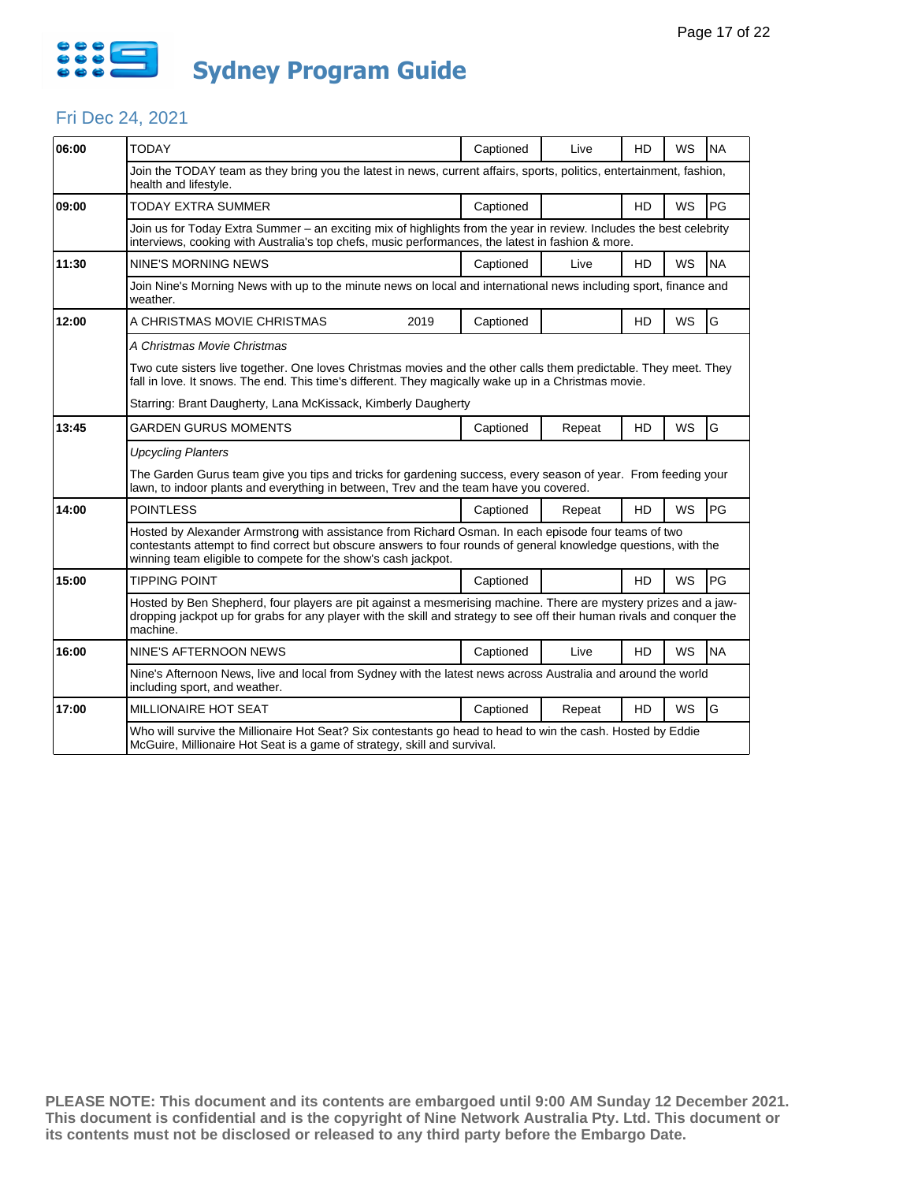

#### Fri Dec 24, 2021

| 06:00 | <b>TODAY</b>                                                                                                                                                                                                                                                                            |                                                                                                                      | Captioned | Live   | HD             | <b>WS</b> | <b>NA</b> |  |  |  |  |
|-------|-----------------------------------------------------------------------------------------------------------------------------------------------------------------------------------------------------------------------------------------------------------------------------------------|----------------------------------------------------------------------------------------------------------------------|-----------|--------|----------------|-----------|-----------|--|--|--|--|
|       | health and lifestyle.                                                                                                                                                                                                                                                                   | Join the TODAY team as they bring you the latest in news, current affairs, sports, politics, entertainment, fashion, |           |        |                |           |           |  |  |  |  |
| 09:00 | <b>TODAY EXTRA SUMMER</b>                                                                                                                                                                                                                                                               |                                                                                                                      | Captioned |        | H <sub>D</sub> | <b>WS</b> | PG        |  |  |  |  |
|       | Join us for Today Extra Summer – an exciting mix of highlights from the year in review. Includes the best celebrity<br>interviews, cooking with Australia's top chefs, music performances, the latest in fashion & more.                                                                |                                                                                                                      |           |        |                |           |           |  |  |  |  |
| 11:30 | NINE'S MORNING NEWS                                                                                                                                                                                                                                                                     |                                                                                                                      | Captioned | Live   | <b>HD</b>      | WS        | <b>NA</b> |  |  |  |  |
|       | Join Nine's Morning News with up to the minute news on local and international news including sport, finance and<br>weather.                                                                                                                                                            |                                                                                                                      |           |        |                |           |           |  |  |  |  |
| 12:00 | A CHRISTMAS MOVIE CHRISTMAS                                                                                                                                                                                                                                                             | 2019                                                                                                                 | Captioned |        | <b>HD</b>      | <b>WS</b> | G         |  |  |  |  |
|       | A Christmas Movie Christmas                                                                                                                                                                                                                                                             |                                                                                                                      |           |        |                |           |           |  |  |  |  |
|       | Two cute sisters live together. One loves Christmas movies and the other calls them predictable. They meet. They<br>fall in love. It snows. The end. This time's different. They magically wake up in a Christmas movie.                                                                |                                                                                                                      |           |        |                |           |           |  |  |  |  |
|       | Starring: Brant Daugherty, Lana McKissack, Kimberly Daugherty                                                                                                                                                                                                                           |                                                                                                                      |           |        |                |           |           |  |  |  |  |
| 13:45 | <b>GARDEN GURUS MOMENTS</b>                                                                                                                                                                                                                                                             |                                                                                                                      | Captioned | Repeat | HD             | WS        | G         |  |  |  |  |
|       | <b>Upcycling Planters</b>                                                                                                                                                                                                                                                               |                                                                                                                      |           |        |                |           |           |  |  |  |  |
|       | The Garden Gurus team give you tips and tricks for gardening success, every season of year. From feeding your<br>lawn, to indoor plants and everything in between, Trev and the team have you covered.                                                                                  |                                                                                                                      |           |        |                |           |           |  |  |  |  |
| 14:00 | <b>POINTLESS</b>                                                                                                                                                                                                                                                                        |                                                                                                                      | Captioned | Repeat | HD             | WS        | PG        |  |  |  |  |
|       | Hosted by Alexander Armstrong with assistance from Richard Osman. In each episode four teams of two<br>contestants attempt to find correct but obscure answers to four rounds of general knowledge questions, with the<br>winning team eligible to compete for the show's cash jackpot. |                                                                                                                      |           |        |                |           |           |  |  |  |  |
| 15:00 | <b>TIPPING POINT</b>                                                                                                                                                                                                                                                                    |                                                                                                                      | Captioned |        | <b>HD</b>      | WS        | PG        |  |  |  |  |
|       | Hosted by Ben Shepherd, four players are pit against a mesmerising machine. There are mystery prizes and a jaw-<br>dropping jackpot up for grabs for any player with the skill and strategy to see off their human rivals and conquer the<br>machine.                                   |                                                                                                                      |           |        |                |           |           |  |  |  |  |
| 16:00 | NINE'S AFTERNOON NEWS                                                                                                                                                                                                                                                                   |                                                                                                                      | Captioned | Live   | <b>HD</b>      | <b>WS</b> | <b>NA</b> |  |  |  |  |
|       | Nine's Afternoon News, live and local from Sydney with the latest news across Australia and around the world<br>including sport, and weather.                                                                                                                                           |                                                                                                                      |           |        |                |           |           |  |  |  |  |
| 17:00 | <b>MILLIONAIRE HOT SEAT</b>                                                                                                                                                                                                                                                             |                                                                                                                      | Captioned | Repeat | <b>HD</b>      | <b>WS</b> | G         |  |  |  |  |
|       | Who will survive the Millionaire Hot Seat? Six contestants go head to head to win the cash. Hosted by Eddie<br>McGuire, Millionaire Hot Seat is a game of strategy, skill and survival.                                                                                                 |                                                                                                                      |           |        |                |           |           |  |  |  |  |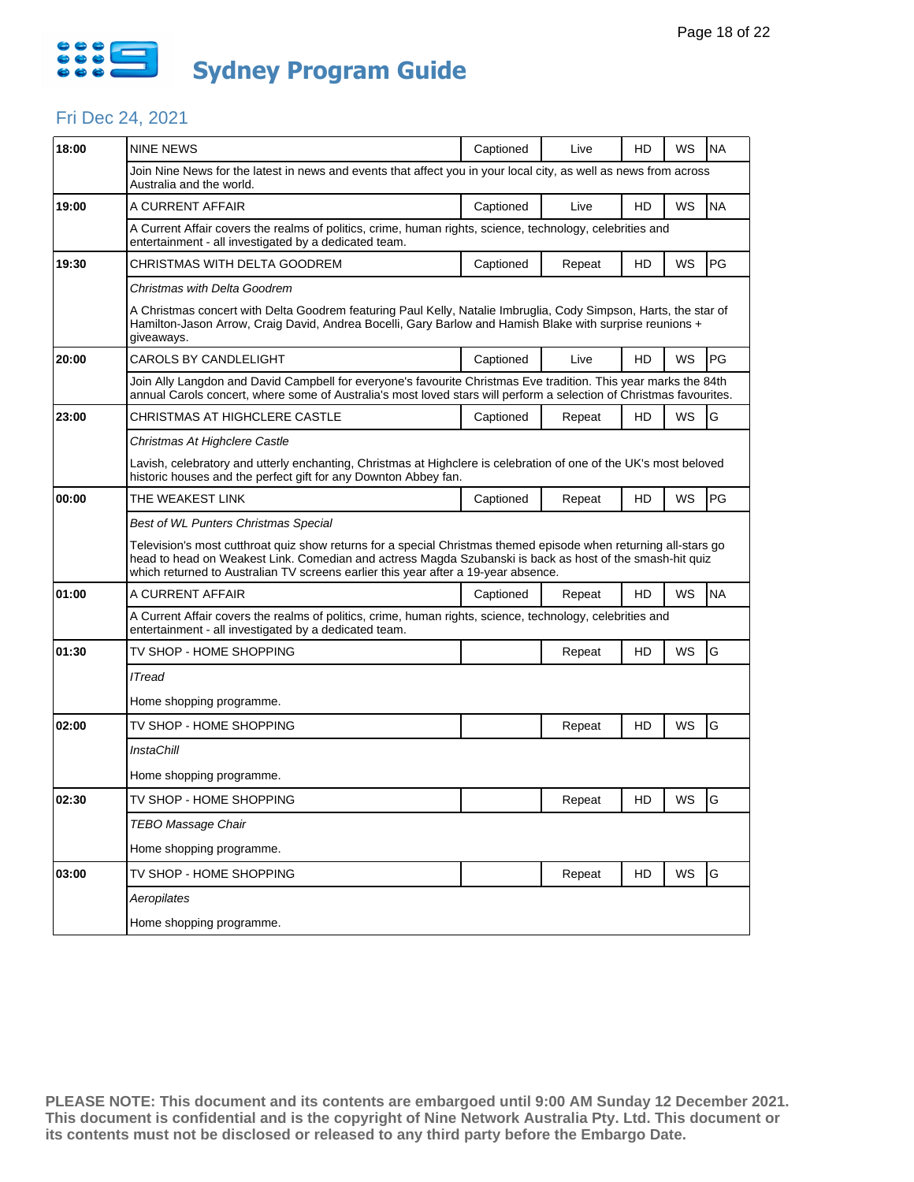

#### Fri Dec 24, 2021

| 18:00 | <b>NINE NEWS</b>                                                                                                                                                                                                                                                                                                   | Captioned | Live   | HD | WS        | <b>NA</b> |  |  |  |  |
|-------|--------------------------------------------------------------------------------------------------------------------------------------------------------------------------------------------------------------------------------------------------------------------------------------------------------------------|-----------|--------|----|-----------|-----------|--|--|--|--|
|       | Join Nine News for the latest in news and events that affect you in your local city, as well as news from across<br>Australia and the world.                                                                                                                                                                       |           |        |    |           |           |  |  |  |  |
| 19:00 | A CURRENT AFFAIR                                                                                                                                                                                                                                                                                                   | Captioned | Live   | HD | WS        | <b>NA</b> |  |  |  |  |
|       | A Current Affair covers the realms of politics, crime, human rights, science, technology, celebrities and<br>entertainment - all investigated by a dedicated team.                                                                                                                                                 |           |        |    |           |           |  |  |  |  |
| 19:30 | CHRISTMAS WITH DELTA GOODREM                                                                                                                                                                                                                                                                                       | Captioned | Repeat | HD | WS        | PG        |  |  |  |  |
|       | Christmas with Delta Goodrem                                                                                                                                                                                                                                                                                       |           |        |    |           |           |  |  |  |  |
|       | A Christmas concert with Delta Goodrem featuring Paul Kelly, Natalie Imbruglia, Cody Simpson, Harts, the star of<br>Hamilton-Jason Arrow, Craig David, Andrea Bocelli, Gary Barlow and Hamish Blake with surprise reunions +<br>giveaways.                                                                         |           |        |    |           |           |  |  |  |  |
| 20:00 | CAROLS BY CANDLELIGHT                                                                                                                                                                                                                                                                                              | Captioned | Live   | HD | WS        | PG        |  |  |  |  |
|       | Join Ally Langdon and David Campbell for everyone's favourite Christmas Eve tradition. This year marks the 84th<br>annual Carols concert, where some of Australia's most loved stars will perform a selection of Christmas favourites.                                                                             |           |        |    |           |           |  |  |  |  |
| 23:00 | CHRISTMAS AT HIGHCLERE CASTLE                                                                                                                                                                                                                                                                                      | Captioned | Repeat | HD | WS        | G         |  |  |  |  |
|       | Christmas At Highclere Castle                                                                                                                                                                                                                                                                                      |           |        |    |           |           |  |  |  |  |
|       | Lavish, celebratory and utterly enchanting, Christmas at Highclere is celebration of one of the UK's most beloved<br>historic houses and the perfect gift for any Downton Abbey fan.                                                                                                                               |           |        |    |           |           |  |  |  |  |
| 00:00 | THE WEAKEST LINK                                                                                                                                                                                                                                                                                                   | Captioned | Repeat | HD | WS        | PG        |  |  |  |  |
|       | Best of WL Punters Christmas Special                                                                                                                                                                                                                                                                               |           |        |    |           |           |  |  |  |  |
|       | Television's most cutthroat quiz show returns for a special Christmas themed episode when returning all-stars go<br>head to head on Weakest Link. Comedian and actress Magda Szubanski is back as host of the smash-hit quiz<br>which returned to Australian TV screens earlier this year after a 19-year absence. |           |        |    |           |           |  |  |  |  |
| 01:00 | A CURRENT AFFAIR                                                                                                                                                                                                                                                                                                   | Captioned | Repeat | HD | WS        | <b>NA</b> |  |  |  |  |
|       | A Current Affair covers the realms of politics, crime, human rights, science, technology, celebrities and<br>entertainment - all investigated by a dedicated team.                                                                                                                                                 |           |        |    |           |           |  |  |  |  |
| 01:30 | TV SHOP - HOME SHOPPING                                                                                                                                                                                                                                                                                            |           | Repeat | HD | <b>WS</b> | G         |  |  |  |  |
|       | <b>ITread</b>                                                                                                                                                                                                                                                                                                      |           |        |    |           |           |  |  |  |  |
|       | Home shopping programme.                                                                                                                                                                                                                                                                                           |           |        |    |           |           |  |  |  |  |
| 02:00 | TV SHOP - HOME SHOPPING                                                                                                                                                                                                                                                                                            |           | Repeat | HD | WS        | G         |  |  |  |  |
|       | <b>InstaChill</b>                                                                                                                                                                                                                                                                                                  |           |        |    |           |           |  |  |  |  |
|       | Home shopping programme.                                                                                                                                                                                                                                                                                           |           |        |    |           |           |  |  |  |  |
| 02:30 | TV SHOP - HOME SHOPPING                                                                                                                                                                                                                                                                                            |           | Repeat | HD | WS        | G         |  |  |  |  |
|       | <b>TEBO Massage Chair</b>                                                                                                                                                                                                                                                                                          |           |        |    |           |           |  |  |  |  |
|       |                                                                                                                                                                                                                                                                                                                    |           |        |    |           |           |  |  |  |  |
|       | Home shopping programme.                                                                                                                                                                                                                                                                                           |           |        |    |           |           |  |  |  |  |
| 03:00 | TV SHOP - HOME SHOPPING                                                                                                                                                                                                                                                                                            |           | Repeat | HD | WS        | G         |  |  |  |  |
|       | Aeropilates                                                                                                                                                                                                                                                                                                        |           |        |    |           |           |  |  |  |  |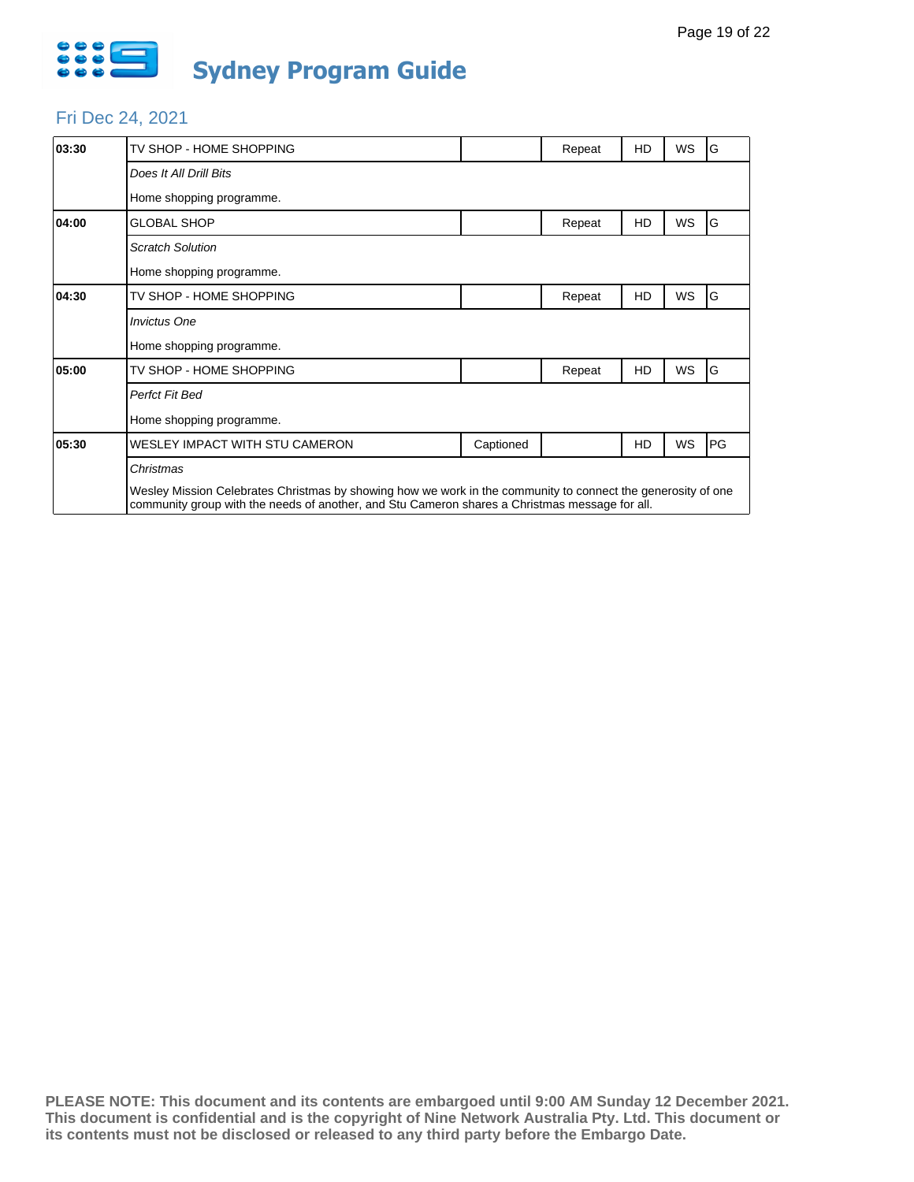

#### Fri Dec 24, 2021

| 03:30 | TV SHOP - HOME SHOPPING                                                                                                                                                                                        |           | Repeat | HD | WS | G  |
|-------|----------------------------------------------------------------------------------------------------------------------------------------------------------------------------------------------------------------|-----------|--------|----|----|----|
|       | Does It All Drill Bits                                                                                                                                                                                         |           |        |    |    |    |
|       | Home shopping programme.                                                                                                                                                                                       |           |        |    |    |    |
| 04:00 | <b>GLOBAL SHOP</b>                                                                                                                                                                                             |           | Repeat | HD | WS | G  |
|       | <b>Scratch Solution</b>                                                                                                                                                                                        |           |        |    |    |    |
|       | Home shopping programme.                                                                                                                                                                                       |           |        |    |    |    |
| 04:30 | TV SHOP - HOME SHOPPING                                                                                                                                                                                        |           | Repeat | HD | WS | G  |
|       | <b>Invictus One</b>                                                                                                                                                                                            |           |        |    |    |    |
|       | Home shopping programme.                                                                                                                                                                                       |           |        |    |    |    |
| 05:00 | TV SHOP - HOME SHOPPING                                                                                                                                                                                        |           | Repeat | HD | WS | G  |
|       | Perfct Fit Bed                                                                                                                                                                                                 |           |        |    |    |    |
|       | Home shopping programme.                                                                                                                                                                                       |           |        |    |    |    |
| 05:30 | WESLEY IMPACT WITH STU CAMERON                                                                                                                                                                                 | Captioned |        | HD | WS | PG |
|       | Christmas                                                                                                                                                                                                      |           |        |    |    |    |
|       | Wesley Mission Celebrates Christmas by showing how we work in the community to connect the generosity of one<br>community group with the needs of another, and Stu Cameron shares a Christmas message for all. |           |        |    |    |    |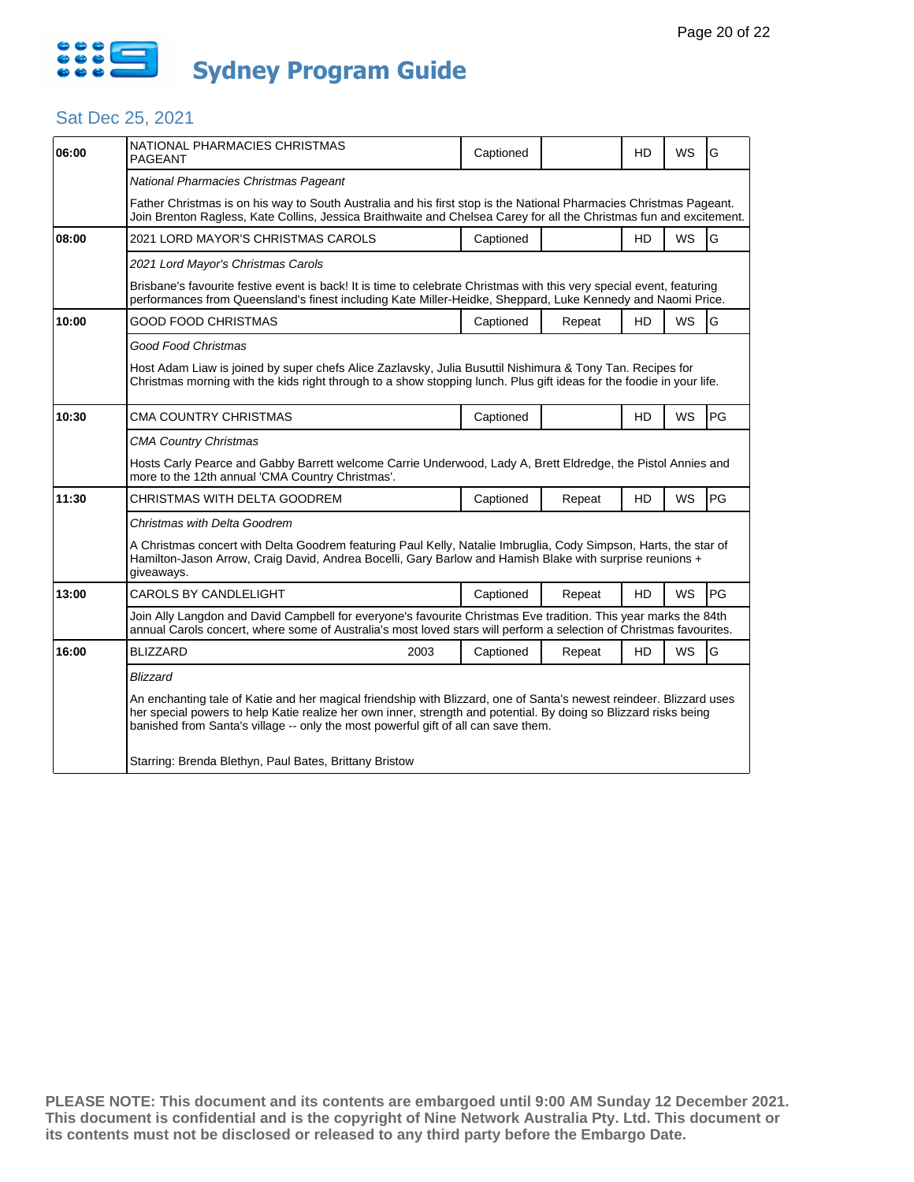

# Sat Dec 25, 2021

| 06:00 | NATIONAL PHARMACIES CHRISTMAS<br><b>PAGEANT</b>                                                                                                                                                                                                                                                                               | Captioned |        | HD        | WS        | G  |  |  |  |
|-------|-------------------------------------------------------------------------------------------------------------------------------------------------------------------------------------------------------------------------------------------------------------------------------------------------------------------------------|-----------|--------|-----------|-----------|----|--|--|--|
|       | National Pharmacies Christmas Pageant                                                                                                                                                                                                                                                                                         |           |        |           |           |    |  |  |  |
|       | Father Christmas is on his way to South Australia and his first stop is the National Pharmacies Christmas Pageant.<br>Join Brenton Ragless, Kate Collins, Jessica Braithwaite and Chelsea Carey for all the Christmas fun and excitement.                                                                                     |           |        |           |           |    |  |  |  |
| 08:00 | 2021 LORD MAYOR'S CHRISTMAS CAROLS                                                                                                                                                                                                                                                                                            | Captioned |        | <b>HD</b> | <b>WS</b> | G  |  |  |  |
|       | 2021 Lord Mayor's Christmas Carols                                                                                                                                                                                                                                                                                            |           |        |           |           |    |  |  |  |
|       | Brisbane's favourite festive event is back! It is time to celebrate Christmas with this very special event, featuring<br>performances from Queensland's finest including Kate Miller-Heidke, Sheppard, Luke Kennedy and Naomi Price.                                                                                          |           |        |           |           |    |  |  |  |
| 10:00 | GOOD FOOD CHRISTMAS                                                                                                                                                                                                                                                                                                           | Captioned | Repeat | <b>HD</b> | <b>WS</b> | G  |  |  |  |
|       | Good Food Christmas                                                                                                                                                                                                                                                                                                           |           |        |           |           |    |  |  |  |
|       | Host Adam Liaw is joined by super chefs Alice Zazlavsky, Julia Busuttil Nishimura & Tony Tan. Recipes for<br>Christmas morning with the kids right through to a show stopping lunch. Plus gift ideas for the foodie in your life.                                                                                             |           |        |           |           |    |  |  |  |
| 10:30 | <b>CMA COUNTRY CHRISTMAS</b>                                                                                                                                                                                                                                                                                                  | Captioned |        | HD        | <b>WS</b> | PG |  |  |  |
|       | <b>CMA Country Christmas</b>                                                                                                                                                                                                                                                                                                  |           |        |           |           |    |  |  |  |
|       | Hosts Carly Pearce and Gabby Barrett welcome Carrie Underwood, Lady A, Brett Eldredge, the Pistol Annies and<br>more to the 12th annual 'CMA Country Christmas'.                                                                                                                                                              |           |        |           |           |    |  |  |  |
| 11:30 | CHRISTMAS WITH DELTA GOODREM                                                                                                                                                                                                                                                                                                  | Captioned | Repeat | HD        | <b>WS</b> | PG |  |  |  |
|       | Christmas with Delta Goodrem                                                                                                                                                                                                                                                                                                  |           |        |           |           |    |  |  |  |
|       | A Christmas concert with Delta Goodrem featuring Paul Kelly, Natalie Imbruglia, Cody Simpson, Harts, the star of<br>Hamilton-Jason Arrow, Craig David, Andrea Bocelli, Gary Barlow and Hamish Blake with surprise reunions +<br>giveaways.                                                                                    |           |        |           |           |    |  |  |  |
| 13:00 | CAROLS BY CANDLELIGHT                                                                                                                                                                                                                                                                                                         | Captioned | Repeat | <b>HD</b> | <b>WS</b> | PG |  |  |  |
|       | Join Ally Langdon and David Campbell for everyone's favourite Christmas Eve tradition. This year marks the 84th<br>annual Carols concert, where some of Australia's most loved stars will perform a selection of Christmas favourites.                                                                                        |           |        |           |           |    |  |  |  |
| 16:00 | <b>BLIZZARD</b><br>2003                                                                                                                                                                                                                                                                                                       | Captioned | Repeat | HD        | <b>WS</b> | G  |  |  |  |
|       | <b>Blizzard</b>                                                                                                                                                                                                                                                                                                               |           |        |           |           |    |  |  |  |
|       | An enchanting tale of Katie and her magical friendship with Blizzard, one of Santa's newest reindeer. Blizzard uses<br>her special powers to help Katie realize her own inner, strength and potential. By doing so Blizzard risks being<br>banished from Santa's village -- only the most powerful gift of all can save them. |           |        |           |           |    |  |  |  |
|       | Starring: Brenda Blethyn, Paul Bates, Brittany Bristow                                                                                                                                                                                                                                                                        |           |        |           |           |    |  |  |  |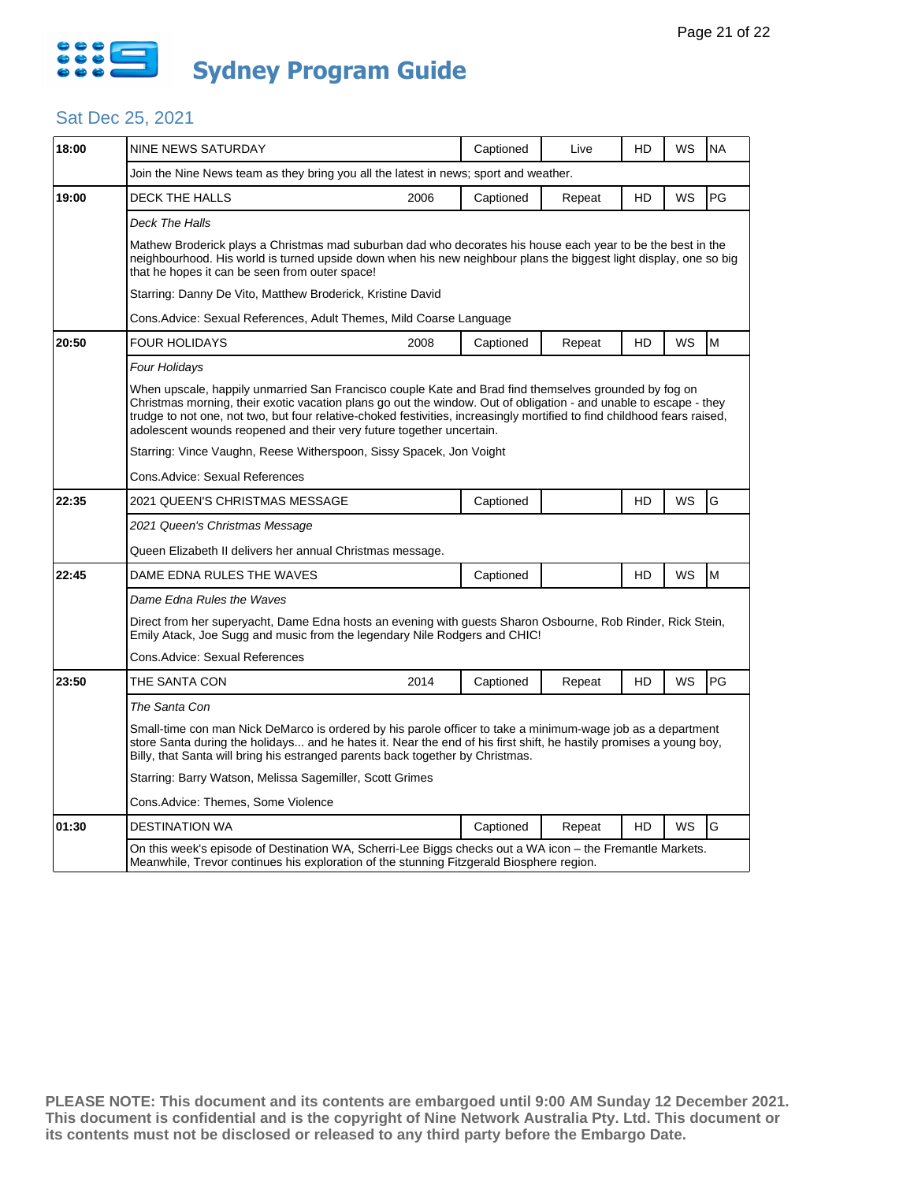

## Sat Dec 25, 2021

| 18:00 | NINE NEWS SATURDAY                                                                                                                                                                                                                                                                                                                                                                                                             |      | Captioned | Live   | HD | WS        | <b>NA</b> |  |  |
|-------|--------------------------------------------------------------------------------------------------------------------------------------------------------------------------------------------------------------------------------------------------------------------------------------------------------------------------------------------------------------------------------------------------------------------------------|------|-----------|--------|----|-----------|-----------|--|--|
|       | Join the Nine News team as they bring you all the latest in news; sport and weather.                                                                                                                                                                                                                                                                                                                                           |      |           |        |    |           |           |  |  |
| 19:00 | <b>DECK THE HALLS</b>                                                                                                                                                                                                                                                                                                                                                                                                          | 2006 | Captioned | Repeat | HD | WS        | PG        |  |  |
|       | Deck The Halls                                                                                                                                                                                                                                                                                                                                                                                                                 |      |           |        |    |           |           |  |  |
|       | Mathew Broderick plays a Christmas mad suburban dad who decorates his house each year to be the best in the<br>neighbourhood. His world is turned upside down when his new neighbour plans the biggest light display, one so big<br>that he hopes it can be seen from outer space!                                                                                                                                             |      |           |        |    |           |           |  |  |
|       | Starring: Danny De Vito, Matthew Broderick, Kristine David                                                                                                                                                                                                                                                                                                                                                                     |      |           |        |    |           |           |  |  |
|       | Cons.Advice: Sexual References, Adult Themes, Mild Coarse Language                                                                                                                                                                                                                                                                                                                                                             |      |           |        |    |           |           |  |  |
| 20:50 | <b>FOUR HOLIDAYS</b>                                                                                                                                                                                                                                                                                                                                                                                                           | 2008 | Captioned | Repeat | HD | WS        | M         |  |  |
|       | Four Holidays                                                                                                                                                                                                                                                                                                                                                                                                                  |      |           |        |    |           |           |  |  |
|       | When upscale, happily unmarried San Francisco couple Kate and Brad find themselves grounded by fog on<br>Christmas morning, their exotic vacation plans go out the window. Out of obligation - and unable to escape - they<br>trudge to not one, not two, but four relative-choked festivities, increasingly mortified to find childhood fears raised,<br>adolescent wounds reopened and their very future together uncertain. |      |           |        |    |           |           |  |  |
|       | Starring: Vince Vaughn, Reese Witherspoon, Sissy Spacek, Jon Voight                                                                                                                                                                                                                                                                                                                                                            |      |           |        |    |           |           |  |  |
|       | Cons.Advice: Sexual References                                                                                                                                                                                                                                                                                                                                                                                                 |      |           |        |    |           |           |  |  |
| 22:35 | 2021 QUEEN'S CHRISTMAS MESSAGE                                                                                                                                                                                                                                                                                                                                                                                                 |      | Captioned |        | HD | WS        | G         |  |  |
|       | 2021 Queen's Christmas Message                                                                                                                                                                                                                                                                                                                                                                                                 |      |           |        |    |           |           |  |  |
|       | Queen Elizabeth II delivers her annual Christmas message.                                                                                                                                                                                                                                                                                                                                                                      |      |           |        |    |           |           |  |  |
| 22:45 | DAME EDNA RULES THE WAVES                                                                                                                                                                                                                                                                                                                                                                                                      |      | Captioned |        | HD | <b>WS</b> | M         |  |  |
|       | Dame Edna Rules the Waves                                                                                                                                                                                                                                                                                                                                                                                                      |      |           |        |    |           |           |  |  |
|       | Direct from her superyacht, Dame Edna hosts an evening with guests Sharon Osbourne, Rob Rinder, Rick Stein,<br>Emily Atack, Joe Sugg and music from the legendary Nile Rodgers and CHIC!                                                                                                                                                                                                                                       |      |           |        |    |           |           |  |  |
|       | Cons.Advice: Sexual References                                                                                                                                                                                                                                                                                                                                                                                                 |      |           |        |    |           |           |  |  |
| 23:50 | THE SANTA CON                                                                                                                                                                                                                                                                                                                                                                                                                  | 2014 | Captioned | Repeat | HD | WS        | PG        |  |  |
|       | The Santa Con                                                                                                                                                                                                                                                                                                                                                                                                                  |      |           |        |    |           |           |  |  |
|       | Small-time con man Nick DeMarco is ordered by his parole officer to take a minimum-wage job as a department<br>store Santa during the holidays and he hates it. Near the end of his first shift, he hastily promises a young boy,<br>Billy, that Santa will bring his estranged parents back together by Christmas.                                                                                                            |      |           |        |    |           |           |  |  |
|       | Starring: Barry Watson, Melissa Sagemiller, Scott Grimes                                                                                                                                                                                                                                                                                                                                                                       |      |           |        |    |           |           |  |  |
|       | Cons.Advice: Themes, Some Violence                                                                                                                                                                                                                                                                                                                                                                                             |      |           |        |    |           |           |  |  |
| 01:30 | <b>DESTINATION WA</b>                                                                                                                                                                                                                                                                                                                                                                                                          |      | Captioned | Repeat | HD | WS        | G         |  |  |
|       | On this week's episode of Destination WA, Scherri-Lee Biggs checks out a WA icon - the Fremantle Markets.<br>Meanwhile, Trevor continues his exploration of the stunning Fitzgerald Biosphere region.                                                                                                                                                                                                                          |      |           |        |    |           |           |  |  |